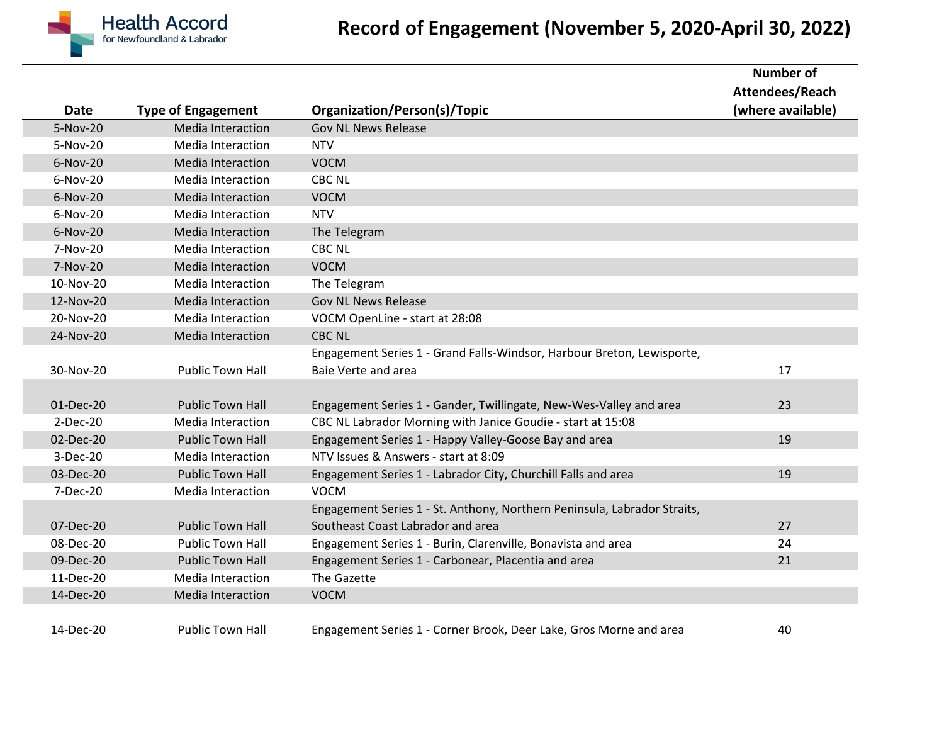

## **Record of Engagement (November 5, 2020-April 30, 2022)**

|             |                           |                                                                          | <b>Number of</b>  |
|-------------|---------------------------|--------------------------------------------------------------------------|-------------------|
|             |                           |                                                                          | Attendees/Reach   |
| <b>Date</b> | <b>Type of Engagement</b> | <b>Organization/Person(s)/Topic</b>                                      | (where available) |
| 5-Nov-20    | Media Interaction         | <b>Gov NL News Release</b>                                               |                   |
| 5-Nov-20    | Media Interaction         | <b>NTV</b>                                                               |                   |
| 6-Nov-20    | <b>Media Interaction</b>  | <b>VOCM</b>                                                              |                   |
| 6-Nov-20    | <b>Media Interaction</b>  | <b>CBC NL</b>                                                            |                   |
| $6-Nov-20$  | Media Interaction         | <b>VOCM</b>                                                              |                   |
| 6-Nov-20    | Media Interaction         | <b>NTV</b>                                                               |                   |
| 6-Nov-20    | Media Interaction         | The Telegram                                                             |                   |
| 7-Nov-20    | <b>Media Interaction</b>  | <b>CBC NL</b>                                                            |                   |
| 7-Nov-20    | <b>Media Interaction</b>  | <b>VOCM</b>                                                              |                   |
| 10-Nov-20   | Media Interaction         | The Telegram                                                             |                   |
| 12-Nov-20   | <b>Media Interaction</b>  | <b>Gov NL News Release</b>                                               |                   |
| 20-Nov-20   | <b>Media Interaction</b>  | VOCM OpenLine - start at 28:08                                           |                   |
| 24-Nov-20   | <b>Media Interaction</b>  | <b>CBC NL</b>                                                            |                   |
|             |                           | Engagement Series 1 - Grand Falls-Windsor, Harbour Breton, Lewisporte,   |                   |
| 30-Nov-20   | <b>Public Town Hall</b>   | Baie Verte and area                                                      | 17                |
|             |                           |                                                                          |                   |
| 01-Dec-20   | <b>Public Town Hall</b>   | Engagement Series 1 - Gander, Twillingate, New-Wes-Valley and area       | 23                |
| $2-Dec-20$  | <b>Media Interaction</b>  | CBC NL Labrador Morning with Janice Goudie - start at 15:08              |                   |
| 02-Dec-20   | <b>Public Town Hall</b>   | Engagement Series 1 - Happy Valley-Goose Bay and area                    | 19                |
| 3-Dec-20    | Media Interaction         | NTV Issues & Answers - start at 8:09                                     |                   |
| 03-Dec-20   | <b>Public Town Hall</b>   | Engagement Series 1 - Labrador City, Churchill Falls and area            | 19                |
| 7-Dec-20    | <b>Media Interaction</b>  | <b>VOCM</b>                                                              |                   |
|             |                           | Engagement Series 1 - St. Anthony, Northern Peninsula, Labrador Straits, |                   |
| 07-Dec-20   | <b>Public Town Hall</b>   | Southeast Coast Labrador and area                                        | 27                |
| 08-Dec-20   | <b>Public Town Hall</b>   | Engagement Series 1 - Burin, Clarenville, Bonavista and area             | 24                |
| 09-Dec-20   | <b>Public Town Hall</b>   | Engagement Series 1 - Carbonear, Placentia and area                      | 21                |
| 11-Dec-20   | Media Interaction         | The Gazette                                                              |                   |
| 14-Dec-20   | Media Interaction         | <b>VOCM</b>                                                              |                   |
|             |                           |                                                                          |                   |
| 14-Dec-20   | <b>Public Town Hall</b>   | Engagement Series 1 - Corner Brook, Deer Lake, Gros Morne and area       | 40                |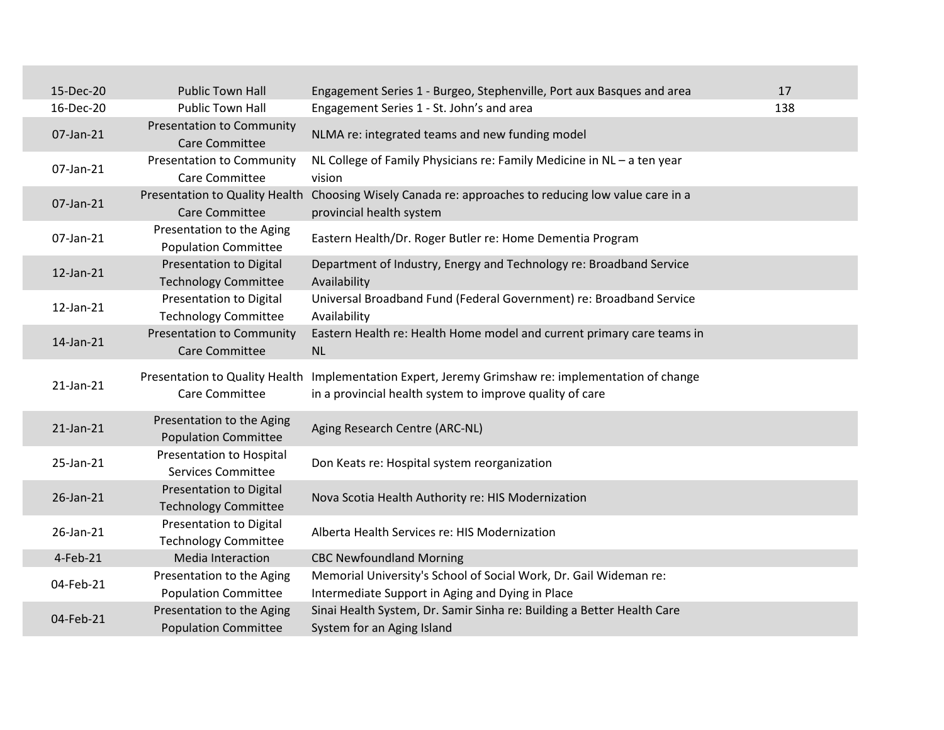| 15-Dec-20  | <b>Public Town Hall</b>                                       | Engagement Series 1 - Burgeo, Stephenville, Port aux Basques and area                                                            | 17  |
|------------|---------------------------------------------------------------|----------------------------------------------------------------------------------------------------------------------------------|-----|
| 16-Dec-20  | <b>Public Town Hall</b>                                       | Engagement Series 1 - St. John's and area                                                                                        | 138 |
| 07-Jan-21  | <b>Presentation to Community</b><br><b>Care Committee</b>     | NLMA re: integrated teams and new funding model                                                                                  |     |
| 07-Jan-21  | <b>Presentation to Community</b><br>Care Committee            | NL College of Family Physicians re: Family Medicine in NL - a ten year<br>vision                                                 |     |
| 07-Jan-21  | Care Committee                                                | Presentation to Quality Health Choosing Wisely Canada re: approaches to reducing low value care in a<br>provincial health system |     |
| 07-Jan-21  | Presentation to the Aging<br><b>Population Committee</b>      | Eastern Health/Dr. Roger Butler re: Home Dementia Program                                                                        |     |
| 12-Jan-21  | <b>Presentation to Digital</b><br><b>Technology Committee</b> | Department of Industry, Energy and Technology re: Broadband Service<br>Availability                                              |     |
| 12-Jan-21  | Presentation to Digital<br><b>Technology Committee</b>        | Universal Broadband Fund (Federal Government) re: Broadband Service<br>Availability                                              |     |
| 14-Jan-21  | <b>Presentation to Community</b><br>Care Committee            | Eastern Health re: Health Home model and current primary care teams in<br><b>NL</b>                                              |     |
| 21-Jan-21  | Presentation to Quality Health<br>Care Committee              | Implementation Expert, Jeremy Grimshaw re: implementation of change<br>in a provincial health system to improve quality of care  |     |
| 21-Jan-21  | Presentation to the Aging<br><b>Population Committee</b>      | Aging Research Centre (ARC-NL)                                                                                                   |     |
| 25-Jan-21  | <b>Presentation to Hospital</b><br><b>Services Committee</b>  | Don Keats re: Hospital system reorganization                                                                                     |     |
| 26-Jan-21  | <b>Presentation to Digital</b><br><b>Technology Committee</b> | Nova Scotia Health Authority re: HIS Modernization                                                                               |     |
| 26-Jan-21  | Presentation to Digital<br><b>Technology Committee</b>        | Alberta Health Services re: HIS Modernization                                                                                    |     |
| $4-Feb-21$ | Media Interaction                                             | <b>CBC Newfoundland Morning</b>                                                                                                  |     |
| 04-Feb-21  | Presentation to the Aging                                     | Memorial University's School of Social Work, Dr. Gail Wideman re:                                                                |     |
|            | <b>Population Committee</b>                                   | Intermediate Support in Aging and Dying in Place                                                                                 |     |
| 04-Feb-21  | Presentation to the Aging<br><b>Population Committee</b>      | Sinai Health System, Dr. Samir Sinha re: Building a Better Health Care<br>System for an Aging Island                             |     |
|            |                                                               |                                                                                                                                  |     |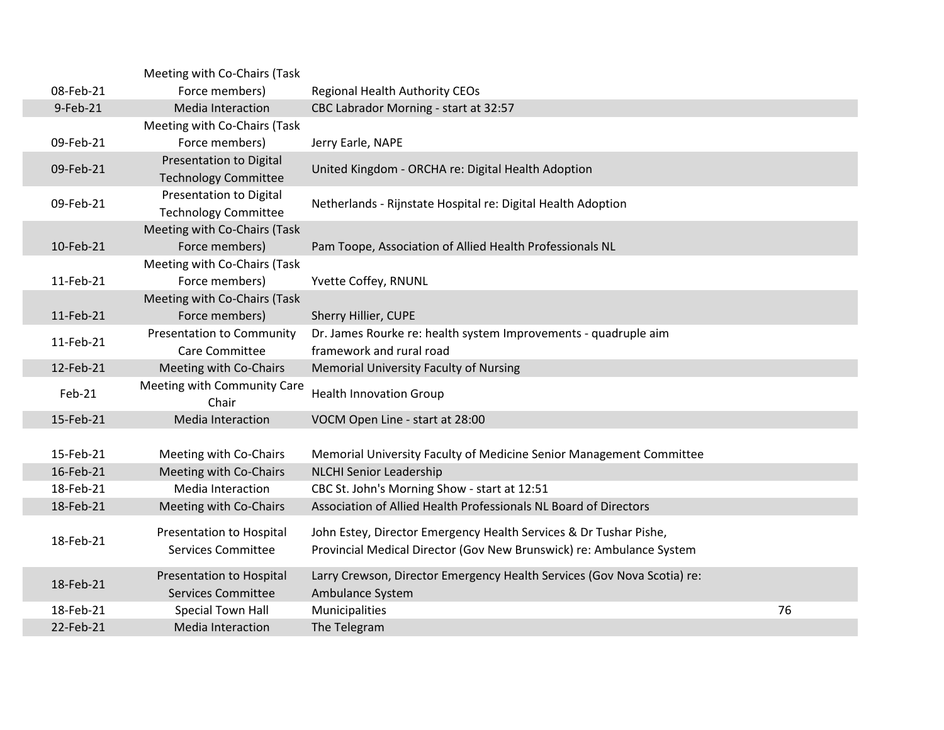|           | Meeting with Co-Chairs (Task                                  |                                                                                                                                           |    |
|-----------|---------------------------------------------------------------|-------------------------------------------------------------------------------------------------------------------------------------------|----|
| 08-Feb-21 | Force members)                                                | <b>Regional Health Authority CEOs</b>                                                                                                     |    |
| 9-Feb-21  | Media Interaction                                             | CBC Labrador Morning - start at 32:57                                                                                                     |    |
|           | Meeting with Co-Chairs (Task                                  |                                                                                                                                           |    |
| 09-Feb-21 | Force members)                                                | Jerry Earle, NAPE                                                                                                                         |    |
| 09-Feb-21 | <b>Presentation to Digital</b><br><b>Technology Committee</b> | United Kingdom - ORCHA re: Digital Health Adoption                                                                                        |    |
| 09-Feb-21 | <b>Presentation to Digital</b><br><b>Technology Committee</b> | Netherlands - Rijnstate Hospital re: Digital Health Adoption                                                                              |    |
|           | Meeting with Co-Chairs (Task                                  |                                                                                                                                           |    |
| 10-Feb-21 | Force members)                                                | Pam Toope, Association of Allied Health Professionals NL                                                                                  |    |
|           | Meeting with Co-Chairs (Task                                  |                                                                                                                                           |    |
| 11-Feb-21 | Force members)                                                | Yvette Coffey, RNUNL                                                                                                                      |    |
|           | Meeting with Co-Chairs (Task                                  |                                                                                                                                           |    |
| 11-Feb-21 | Force members)                                                | Sherry Hillier, CUPE                                                                                                                      |    |
| 11-Feb-21 | <b>Presentation to Community</b><br>Care Committee            | Dr. James Rourke re: health system Improvements - quadruple aim<br>framework and rural road                                               |    |
| 12-Feb-21 | Meeting with Co-Chairs                                        | Memorial University Faculty of Nursing                                                                                                    |    |
| Feb-21    | Meeting with Community Care<br>Chair                          | <b>Health Innovation Group</b>                                                                                                            |    |
| 15-Feb-21 | Media Interaction                                             | VOCM Open Line - start at 28:00                                                                                                           |    |
|           |                                                               |                                                                                                                                           |    |
| 15-Feb-21 | Meeting with Co-Chairs                                        | Memorial University Faculty of Medicine Senior Management Committee                                                                       |    |
| 16-Feb-21 | Meeting with Co-Chairs                                        | <b>NLCHI Senior Leadership</b>                                                                                                            |    |
| 18-Feb-21 | <b>Media Interaction</b>                                      | CBC St. John's Morning Show - start at 12:51                                                                                              |    |
| 18-Feb-21 | Meeting with Co-Chairs                                        | Association of Allied Health Professionals NL Board of Directors                                                                          |    |
| 18-Feb-21 | Presentation to Hospital<br><b>Services Committee</b>         | John Estey, Director Emergency Health Services & Dr Tushar Pishe,<br>Provincial Medical Director (Gov New Brunswick) re: Ambulance System |    |
| 18-Feb-21 | Presentation to Hospital<br><b>Services Committee</b>         | Larry Crewson, Director Emergency Health Services (Gov Nova Scotia) re:<br>Ambulance System                                               |    |
| 18-Feb-21 | Special Town Hall                                             | Municipalities                                                                                                                            | 76 |
| 22-Feb-21 | <b>Media Interaction</b>                                      | The Telegram                                                                                                                              |    |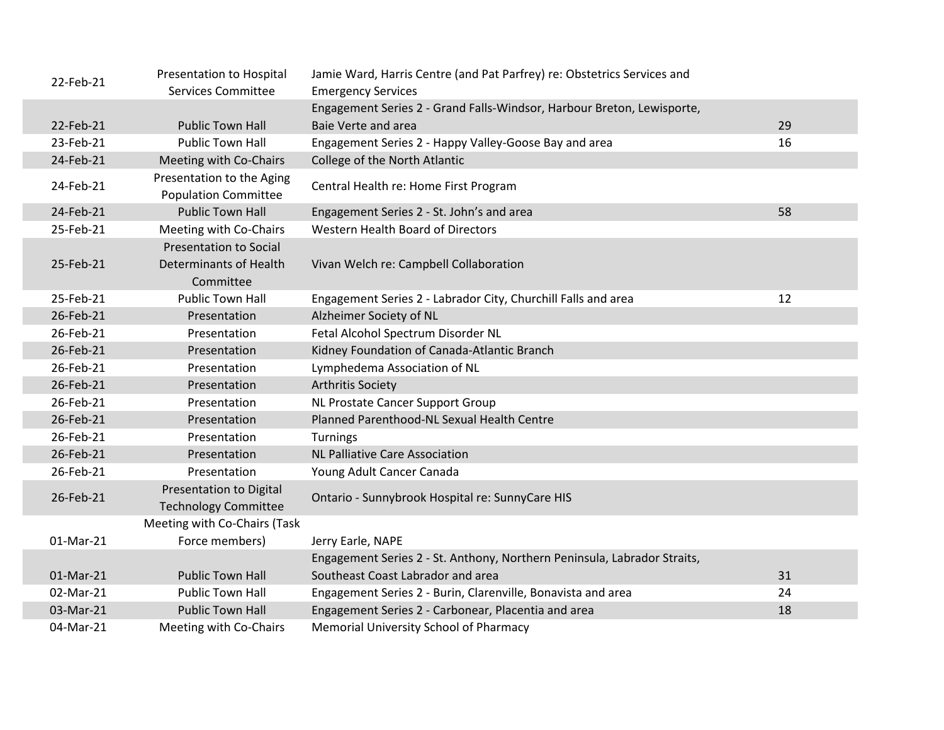| 22-Feb-21 | Presentation to Hospital                                             | Jamie Ward, Harris Centre (and Pat Parfrey) re: Obstetrics Services and  |    |
|-----------|----------------------------------------------------------------------|--------------------------------------------------------------------------|----|
|           | <b>Services Committee</b>                                            | <b>Emergency Services</b>                                                |    |
|           |                                                                      | Engagement Series 2 - Grand Falls-Windsor, Harbour Breton, Lewisporte,   |    |
| 22-Feb-21 | <b>Public Town Hall</b>                                              | <b>Baie Verte and area</b>                                               | 29 |
| 23-Feb-21 | <b>Public Town Hall</b>                                              | Engagement Series 2 - Happy Valley-Goose Bay and area                    | 16 |
| 24-Feb-21 | Meeting with Co-Chairs                                               | College of the North Atlantic                                            |    |
| 24-Feb-21 | Presentation to the Aging<br><b>Population Committee</b>             | Central Health re: Home First Program                                    |    |
| 24-Feb-21 | <b>Public Town Hall</b>                                              | Engagement Series 2 - St. John's and area                                | 58 |
| 25-Feb-21 | Meeting with Co-Chairs                                               | Western Health Board of Directors                                        |    |
| 25-Feb-21 | <b>Presentation to Social</b><br>Determinants of Health<br>Committee | Vivan Welch re: Campbell Collaboration                                   |    |
| 25-Feb-21 | <b>Public Town Hall</b>                                              | Engagement Series 2 - Labrador City, Churchill Falls and area            | 12 |
| 26-Feb-21 | Presentation                                                         | Alzheimer Society of NL                                                  |    |
| 26-Feb-21 | Presentation                                                         | Fetal Alcohol Spectrum Disorder NL                                       |    |
| 26-Feb-21 | Presentation                                                         | Kidney Foundation of Canada-Atlantic Branch                              |    |
| 26-Feb-21 | Presentation                                                         | Lymphedema Association of NL                                             |    |
| 26-Feb-21 | Presentation                                                         | <b>Arthritis Society</b>                                                 |    |
| 26-Feb-21 | Presentation                                                         | NL Prostate Cancer Support Group                                         |    |
| 26-Feb-21 | Presentation                                                         | Planned Parenthood-NL Sexual Health Centre                               |    |
| 26-Feb-21 | Presentation                                                         | Turnings                                                                 |    |
| 26-Feb-21 | Presentation                                                         | <b>NL Palliative Care Association</b>                                    |    |
| 26-Feb-21 | Presentation                                                         | Young Adult Cancer Canada                                                |    |
| 26-Feb-21 | Presentation to Digital<br><b>Technology Committee</b>               | Ontario - Sunnybrook Hospital re: SunnyCare HIS                          |    |
|           | Meeting with Co-Chairs (Task                                         |                                                                          |    |
| 01-Mar-21 | Force members)                                                       | Jerry Earle, NAPE                                                        |    |
|           |                                                                      | Engagement Series 2 - St. Anthony, Northern Peninsula, Labrador Straits, |    |
| 01-Mar-21 | <b>Public Town Hall</b>                                              | Southeast Coast Labrador and area                                        | 31 |
| 02-Mar-21 | <b>Public Town Hall</b>                                              | Engagement Series 2 - Burin, Clarenville, Bonavista and area             | 24 |
| 03-Mar-21 | <b>Public Town Hall</b>                                              | Engagement Series 2 - Carbonear, Placentia and area                      | 18 |
| 04-Mar-21 | Meeting with Co-Chairs                                               | Memorial University School of Pharmacy                                   |    |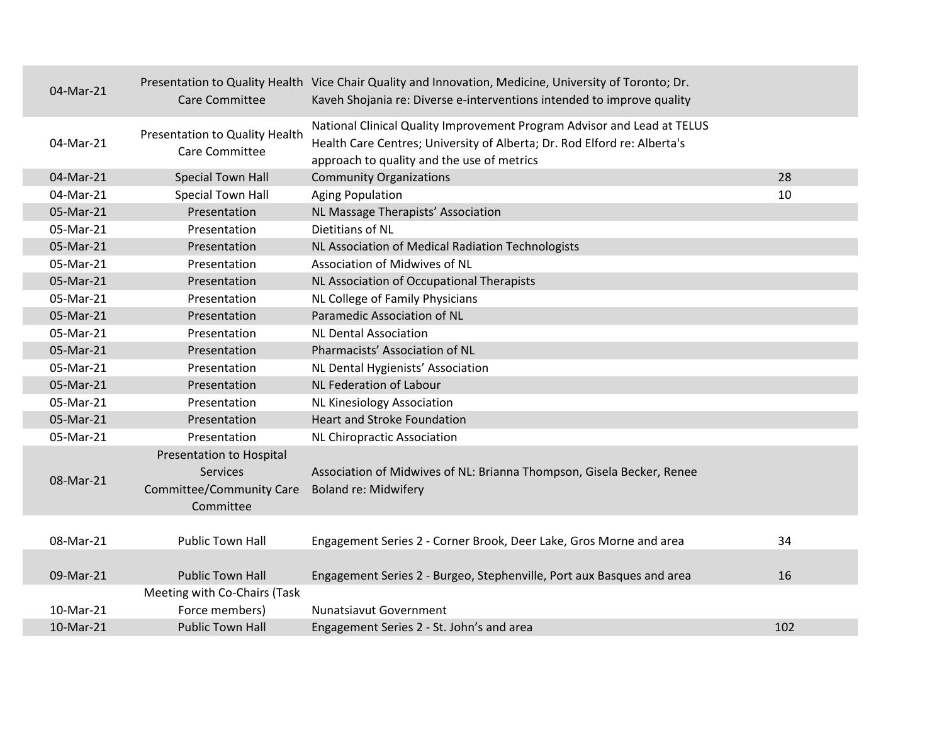| 04-Mar-21 | <b>Care Committee</b>                                                                       | Presentation to Quality Health Vice Chair Quality and Innovation, Medicine, University of Toronto; Dr.<br>Kaveh Shojania re: Diverse e-interventions intended to improve quality                  |     |
|-----------|---------------------------------------------------------------------------------------------|---------------------------------------------------------------------------------------------------------------------------------------------------------------------------------------------------|-----|
| 04-Mar-21 | Presentation to Quality Health<br>Care Committee                                            | National Clinical Quality Improvement Program Advisor and Lead at TELUS<br>Health Care Centres; University of Alberta; Dr. Rod Elford re: Alberta's<br>approach to quality and the use of metrics |     |
| 04-Mar-21 | <b>Special Town Hall</b>                                                                    | <b>Community Organizations</b>                                                                                                                                                                    | 28  |
| 04-Mar-21 | <b>Special Town Hall</b>                                                                    | <b>Aging Population</b>                                                                                                                                                                           | 10  |
| 05-Mar-21 | Presentation                                                                                | NL Massage Therapists' Association                                                                                                                                                                |     |
| 05-Mar-21 | Presentation                                                                                | Dietitians of NL                                                                                                                                                                                  |     |
| 05-Mar-21 | Presentation                                                                                | NL Association of Medical Radiation Technologists                                                                                                                                                 |     |
| 05-Mar-21 | Presentation                                                                                | Association of Midwives of NL                                                                                                                                                                     |     |
| 05-Mar-21 | Presentation                                                                                | NL Association of Occupational Therapists                                                                                                                                                         |     |
| 05-Mar-21 | Presentation                                                                                | NL College of Family Physicians                                                                                                                                                                   |     |
| 05-Mar-21 | Presentation                                                                                | Paramedic Association of NL                                                                                                                                                                       |     |
| 05-Mar-21 | Presentation                                                                                | <b>NL Dental Association</b>                                                                                                                                                                      |     |
| 05-Mar-21 | Presentation                                                                                | Pharmacists' Association of NL                                                                                                                                                                    |     |
| 05-Mar-21 | Presentation                                                                                | NL Dental Hygienists' Association                                                                                                                                                                 |     |
| 05-Mar-21 | Presentation                                                                                | NL Federation of Labour                                                                                                                                                                           |     |
| 05-Mar-21 | Presentation                                                                                | <b>NL Kinesiology Association</b>                                                                                                                                                                 |     |
| 05-Mar-21 | Presentation                                                                                | <b>Heart and Stroke Foundation</b>                                                                                                                                                                |     |
| 05-Mar-21 | Presentation                                                                                | <b>NL Chiropractic Association</b>                                                                                                                                                                |     |
| 08-Mar-21 | <b>Presentation to Hospital</b><br>Services<br><b>Committee/Community Care</b><br>Committee | Association of Midwives of NL: Brianna Thompson, Gisela Becker, Renee<br><b>Boland re: Midwifery</b>                                                                                              |     |
| 08-Mar-21 | <b>Public Town Hall</b>                                                                     | Engagement Series 2 - Corner Brook, Deer Lake, Gros Morne and area                                                                                                                                | 34  |
| 09-Mar-21 | <b>Public Town Hall</b>                                                                     | Engagement Series 2 - Burgeo, Stephenville, Port aux Basques and area                                                                                                                             | 16  |
|           | Meeting with Co-Chairs (Task                                                                |                                                                                                                                                                                                   |     |
| 10-Mar-21 | Force members)                                                                              | <b>Nunatsiavut Government</b>                                                                                                                                                                     |     |
| 10-Mar-21 | <b>Public Town Hall</b>                                                                     | Engagement Series 2 - St. John's and area                                                                                                                                                         | 102 |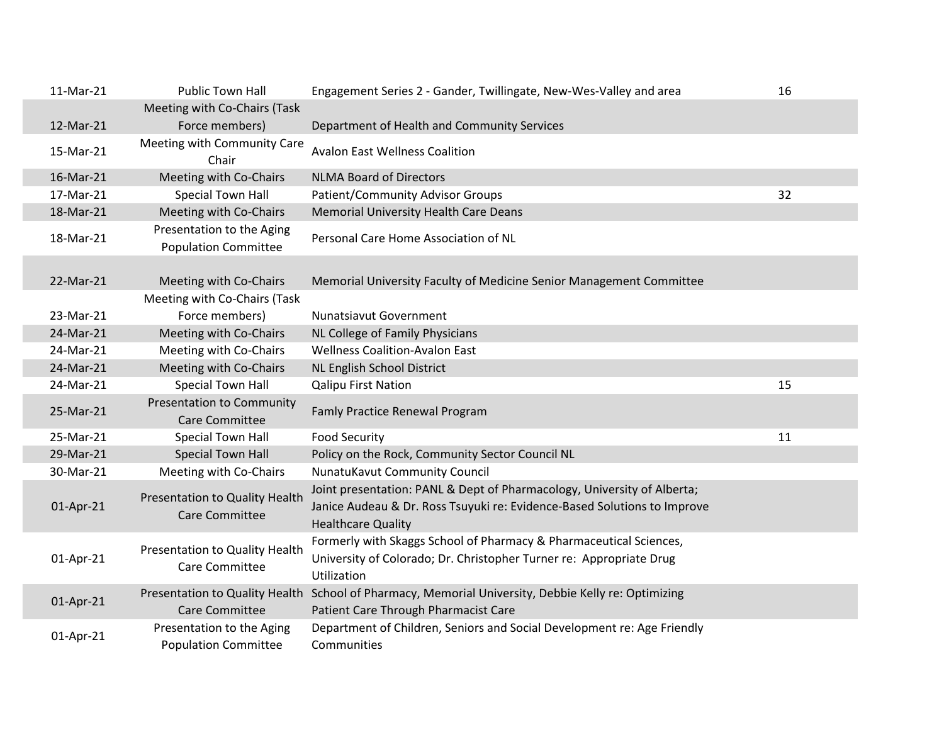| 11-Mar-21 | <b>Public Town Hall</b>                                   | Engagement Series 2 - Gander, Twillingate, New-Wes-Valley and area                                                                                       | 16 |
|-----------|-----------------------------------------------------------|----------------------------------------------------------------------------------------------------------------------------------------------------------|----|
|           | Meeting with Co-Chairs (Task                              |                                                                                                                                                          |    |
| 12-Mar-21 | Force members)                                            | Department of Health and Community Services                                                                                                              |    |
| 15-Mar-21 | Meeting with Community Care<br>Chair                      | <b>Avalon East Wellness Coalition</b>                                                                                                                    |    |
| 16-Mar-21 | Meeting with Co-Chairs                                    | <b>NLMA Board of Directors</b>                                                                                                                           |    |
| 17-Mar-21 | <b>Special Town Hall</b>                                  | <b>Patient/Community Advisor Groups</b>                                                                                                                  | 32 |
| 18-Mar-21 | Meeting with Co-Chairs                                    | <b>Memorial University Health Care Deans</b>                                                                                                             |    |
| 18-Mar-21 | Presentation to the Aging<br><b>Population Committee</b>  | Personal Care Home Association of NL                                                                                                                     |    |
|           |                                                           |                                                                                                                                                          |    |
| 22-Mar-21 | Meeting with Co-Chairs                                    | Memorial University Faculty of Medicine Senior Management Committee                                                                                      |    |
|           | Meeting with Co-Chairs (Task                              |                                                                                                                                                          |    |
| 23-Mar-21 | Force members)                                            | <b>Nunatsiavut Government</b>                                                                                                                            |    |
| 24-Mar-21 | Meeting with Co-Chairs                                    | NL College of Family Physicians                                                                                                                          |    |
| 24-Mar-21 | Meeting with Co-Chairs                                    | <b>Wellness Coalition-Avalon East</b>                                                                                                                    |    |
| 24-Mar-21 | Meeting with Co-Chairs                                    | NL English School District                                                                                                                               |    |
| 24-Mar-21 | <b>Special Town Hall</b>                                  | <b>Qalipu First Nation</b>                                                                                                                               | 15 |
| 25-Mar-21 | <b>Presentation to Community</b><br><b>Care Committee</b> | <b>Famly Practice Renewal Program</b>                                                                                                                    |    |
| 25-Mar-21 | <b>Special Town Hall</b>                                  | <b>Food Security</b>                                                                                                                                     | 11 |
| 29-Mar-21 | <b>Special Town Hall</b>                                  | Policy on the Rock, Community Sector Council NL                                                                                                          |    |
| 30-Mar-21 | Meeting with Co-Chairs                                    | NunatuKavut Community Council                                                                                                                            |    |
|           | Presentation to Quality Health                            | Joint presentation: PANL & Dept of Pharmacology, University of Alberta;                                                                                  |    |
| 01-Apr-21 | <b>Care Committee</b>                                     | Janice Audeau & Dr. Ross Tsuyuki re: Evidence-Based Solutions to Improve<br><b>Healthcare Quality</b>                                                    |    |
| 01-Apr-21 | Presentation to Quality Health<br>Care Committee          | Formerly with Skaggs School of Pharmacy & Pharmaceutical Sciences,<br>University of Colorado; Dr. Christopher Turner re: Appropriate Drug<br>Utilization |    |
| 01-Apr-21 | Presentation to Quality Health<br><b>Care Committee</b>   | School of Pharmacy, Memorial University, Debbie Kelly re: Optimizing<br>Patient Care Through Pharmacist Care                                             |    |
| 01-Apr-21 | Presentation to the Aging<br><b>Population Committee</b>  | Department of Children, Seniors and Social Development re: Age Friendly<br>Communities                                                                   |    |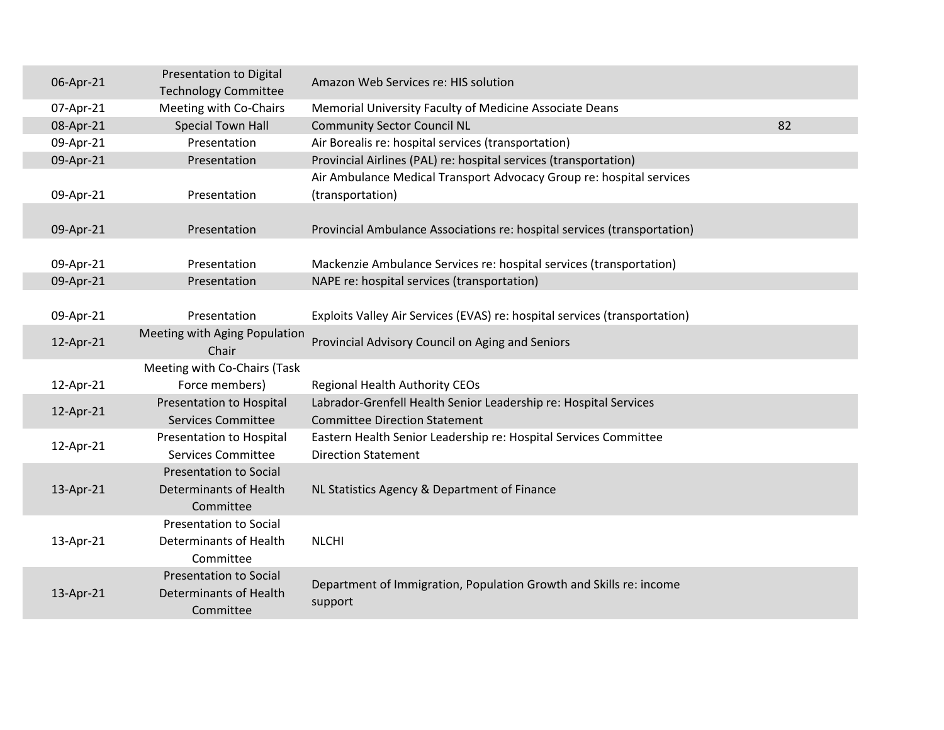| 06-Apr-21 | <b>Presentation to Digital</b><br><b>Technology Committee</b>               | Amazon Web Services re: HIS solution                                                                     |  |
|-----------|-----------------------------------------------------------------------------|----------------------------------------------------------------------------------------------------------|--|
| 07-Apr-21 | Meeting with Co-Chairs                                                      | Memorial University Faculty of Medicine Associate Deans                                                  |  |
| 08-Apr-21 | <b>Special Town Hall</b>                                                    | 82<br><b>Community Sector Council NL</b>                                                                 |  |
| 09-Apr-21 | Presentation                                                                | Air Borealis re: hospital services (transportation)                                                      |  |
| 09-Apr-21 | Presentation                                                                | Provincial Airlines (PAL) re: hospital services (transportation)                                         |  |
|           |                                                                             | Air Ambulance Medical Transport Advocacy Group re: hospital services                                     |  |
| 09-Apr-21 | Presentation                                                                | (transportation)                                                                                         |  |
| 09-Apr-21 | Presentation                                                                | Provincial Ambulance Associations re: hospital services (transportation)                                 |  |
| 09-Apr-21 | Presentation                                                                | Mackenzie Ambulance Services re: hospital services (transportation)                                      |  |
| 09-Apr-21 | Presentation                                                                | NAPE re: hospital services (transportation)                                                              |  |
|           |                                                                             |                                                                                                          |  |
| 09-Apr-21 | Presentation                                                                | Exploits Valley Air Services (EVAS) re: hospital services (transportation)                               |  |
| 12-Apr-21 | Meeting with Aging Population<br>Chair                                      | Provincial Advisory Council on Aging and Seniors                                                         |  |
|           | Meeting with Co-Chairs (Task                                                |                                                                                                          |  |
| 12-Apr-21 | Force members)                                                              | <b>Regional Health Authority CEOs</b>                                                                    |  |
| 12-Apr-21 | Presentation to Hospital<br><b>Services Committee</b>                       | Labrador-Grenfell Health Senior Leadership re: Hospital Services<br><b>Committee Direction Statement</b> |  |
| 12-Apr-21 | <b>Presentation to Hospital</b><br><b>Services Committee</b>                | Eastern Health Senior Leadership re: Hospital Services Committee<br><b>Direction Statement</b>           |  |
| 13-Apr-21 | <b>Presentation to Social</b><br><b>Determinants of Health</b><br>Committee | NL Statistics Agency & Department of Finance                                                             |  |
| 13-Apr-21 | <b>Presentation to Social</b><br>Determinants of Health<br>Committee        | <b>NLCHI</b>                                                                                             |  |
| 13-Apr-21 | <b>Presentation to Social</b><br><b>Determinants of Health</b><br>Committee | Department of Immigration, Population Growth and Skills re: income<br>support                            |  |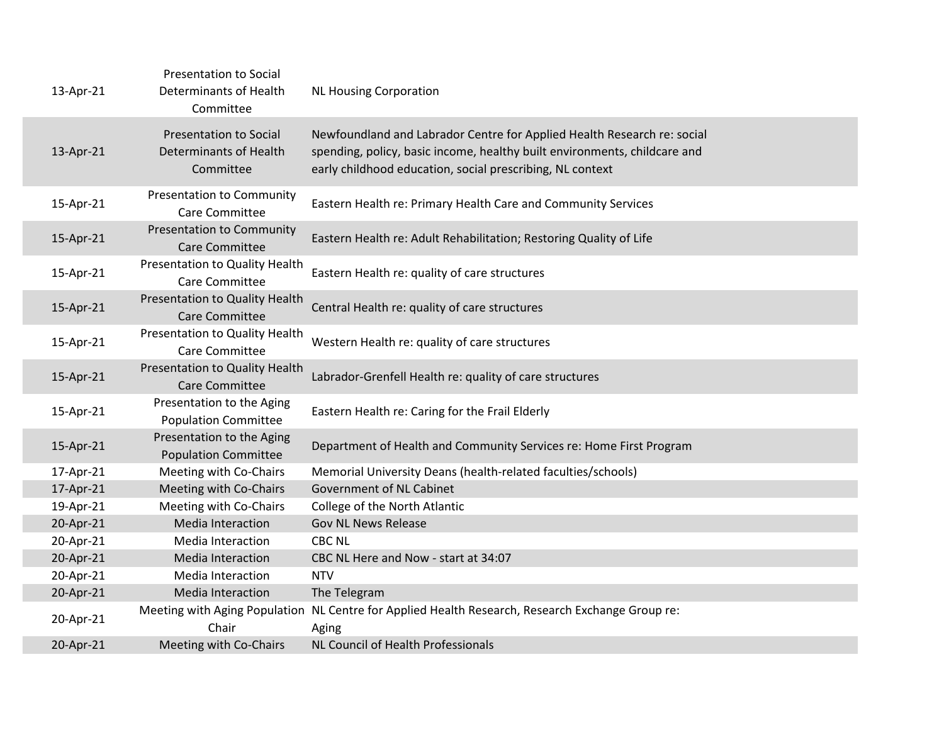| 13-Apr-21 | <b>Presentation to Social</b><br>Determinants of Health<br>Committee        | <b>NL Housing Corporation</b>                                                                                                                                                                                     |
|-----------|-----------------------------------------------------------------------------|-------------------------------------------------------------------------------------------------------------------------------------------------------------------------------------------------------------------|
| 13-Apr-21 | <b>Presentation to Social</b><br><b>Determinants of Health</b><br>Committee | Newfoundland and Labrador Centre for Applied Health Research re: social<br>spending, policy, basic income, healthy built environments, childcare and<br>early childhood education, social prescribing, NL context |
| 15-Apr-21 | <b>Presentation to Community</b><br>Care Committee                          | Eastern Health re: Primary Health Care and Community Services                                                                                                                                                     |
| 15-Apr-21 | <b>Presentation to Community</b><br><b>Care Committee</b>                   | Eastern Health re: Adult Rehabilitation; Restoring Quality of Life                                                                                                                                                |
| 15-Apr-21 | Presentation to Quality Health<br>Care Committee                            | Eastern Health re: quality of care structures                                                                                                                                                                     |
| 15-Apr-21 | Presentation to Quality Health<br><b>Care Committee</b>                     | Central Health re: quality of care structures                                                                                                                                                                     |
| 15-Apr-21 | Presentation to Quality Health<br>Care Committee                            | Western Health re: quality of care structures                                                                                                                                                                     |
| 15-Apr-21 | Presentation to Quality Health<br><b>Care Committee</b>                     | Labrador-Grenfell Health re: quality of care structures                                                                                                                                                           |
| 15-Apr-21 | Presentation to the Aging<br><b>Population Committee</b>                    | Eastern Health re: Caring for the Frail Elderly                                                                                                                                                                   |
| 15-Apr-21 | Presentation to the Aging<br><b>Population Committee</b>                    | Department of Health and Community Services re: Home First Program                                                                                                                                                |
| 17-Apr-21 | Meeting with Co-Chairs                                                      | Memorial University Deans (health-related faculties/schools)                                                                                                                                                      |
| 17-Apr-21 | Meeting with Co-Chairs                                                      | Government of NL Cabinet                                                                                                                                                                                          |
| 19-Apr-21 | Meeting with Co-Chairs                                                      | College of the North Atlantic                                                                                                                                                                                     |
| 20-Apr-21 | Media Interaction                                                           | <b>Gov NL News Release</b>                                                                                                                                                                                        |
| 20-Apr-21 | Media Interaction                                                           | <b>CBC NL</b>                                                                                                                                                                                                     |
| 20-Apr-21 | Media Interaction                                                           | CBC NL Here and Now - start at 34:07                                                                                                                                                                              |
| 20-Apr-21 | Media Interaction                                                           | <b>NTV</b>                                                                                                                                                                                                        |
| 20-Apr-21 | Media Interaction                                                           | The Telegram                                                                                                                                                                                                      |
| 20-Apr-21 | Chair                                                                       | Meeting with Aging Population NL Centre for Applied Health Research, Research Exchange Group re:<br>Aging                                                                                                         |
| 20-Apr-21 | Meeting with Co-Chairs                                                      | NL Council of Health Professionals                                                                                                                                                                                |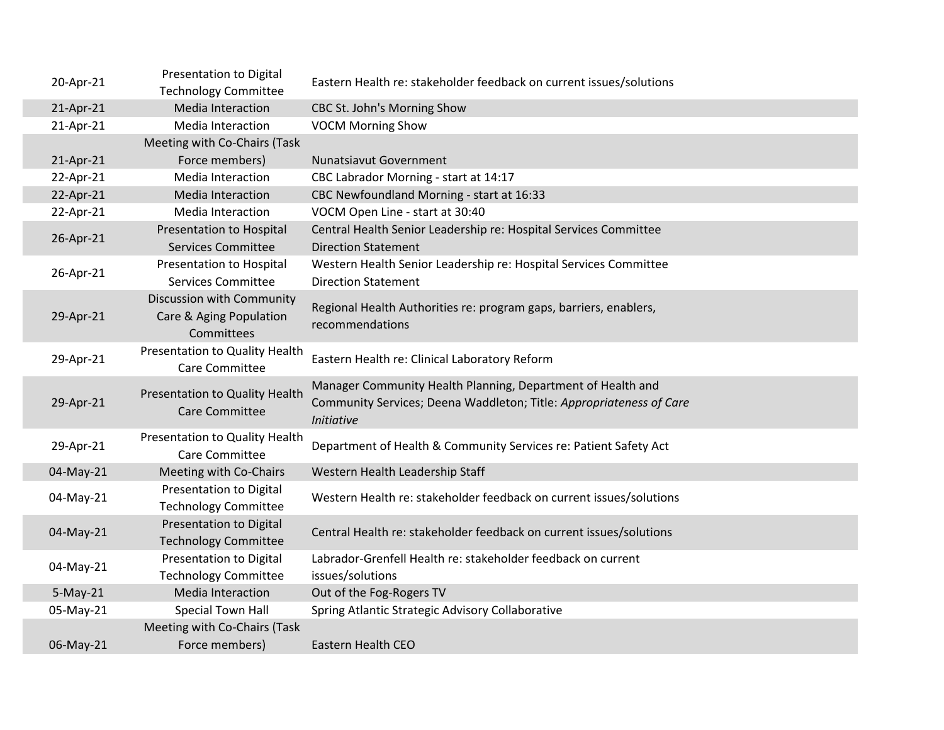| 20-Apr-21  | Presentation to Digital<br><b>Technology Committee</b>             | Eastern Health re: stakeholder feedback on current issues/solutions                                                                                     |
|------------|--------------------------------------------------------------------|---------------------------------------------------------------------------------------------------------------------------------------------------------|
| 21-Apr-21  | Media Interaction                                                  | CBC St. John's Morning Show                                                                                                                             |
| 21-Apr-21  | Media Interaction                                                  | <b>VOCM Morning Show</b>                                                                                                                                |
|            | Meeting with Co-Chairs (Task                                       |                                                                                                                                                         |
| 21-Apr-21  | Force members)                                                     | <b>Nunatsiavut Government</b>                                                                                                                           |
| 22-Apr-21  | Media Interaction                                                  | CBC Labrador Morning - start at 14:17                                                                                                                   |
| 22-Apr-21  | Media Interaction                                                  | CBC Newfoundland Morning - start at 16:33                                                                                                               |
| 22-Apr-21  | Media Interaction                                                  | VOCM Open Line - start at 30:40                                                                                                                         |
| 26-Apr-21  | Presentation to Hospital<br><b>Services Committee</b>              | Central Health Senior Leadership re: Hospital Services Committee<br><b>Direction Statement</b>                                                          |
| 26-Apr-21  | <b>Presentation to Hospital</b><br><b>Services Committee</b>       | Western Health Senior Leadership re: Hospital Services Committee<br><b>Direction Statement</b>                                                          |
| 29-Apr-21  | Discussion with Community<br>Care & Aging Population<br>Committees | Regional Health Authorities re: program gaps, barriers, enablers,<br>recommendations                                                                    |
| 29-Apr-21  | Presentation to Quality Health<br>Care Committee                   | Eastern Health re: Clinical Laboratory Reform                                                                                                           |
| 29-Apr-21  | Presentation to Quality Health<br><b>Care Committee</b>            | Manager Community Health Planning, Department of Health and<br>Community Services; Deena Waddleton; Title: Appropriateness of Care<br><b>Initiative</b> |
| 29-Apr-21  | Presentation to Quality Health<br><b>Care Committee</b>            | Department of Health & Community Services re: Patient Safety Act                                                                                        |
| 04-May-21  | Meeting with Co-Chairs                                             | Western Health Leadership Staff                                                                                                                         |
| 04-May-21  | <b>Presentation to Digital</b><br><b>Technology Committee</b>      | Western Health re: stakeholder feedback on current issues/solutions                                                                                     |
| 04-May-21  | Presentation to Digital<br><b>Technology Committee</b>             | Central Health re: stakeholder feedback on current issues/solutions                                                                                     |
| 04-May-21  | <b>Presentation to Digital</b><br><b>Technology Committee</b>      | Labrador-Grenfell Health re: stakeholder feedback on current<br>issues/solutions                                                                        |
| $5-May-21$ | Media Interaction                                                  | Out of the Fog-Rogers TV                                                                                                                                |
| 05-May-21  | Special Town Hall                                                  | Spring Atlantic Strategic Advisory Collaborative                                                                                                        |
|            | Meeting with Co-Chairs (Task                                       |                                                                                                                                                         |
| 06-May-21  | Force members)                                                     | Eastern Health CEO                                                                                                                                      |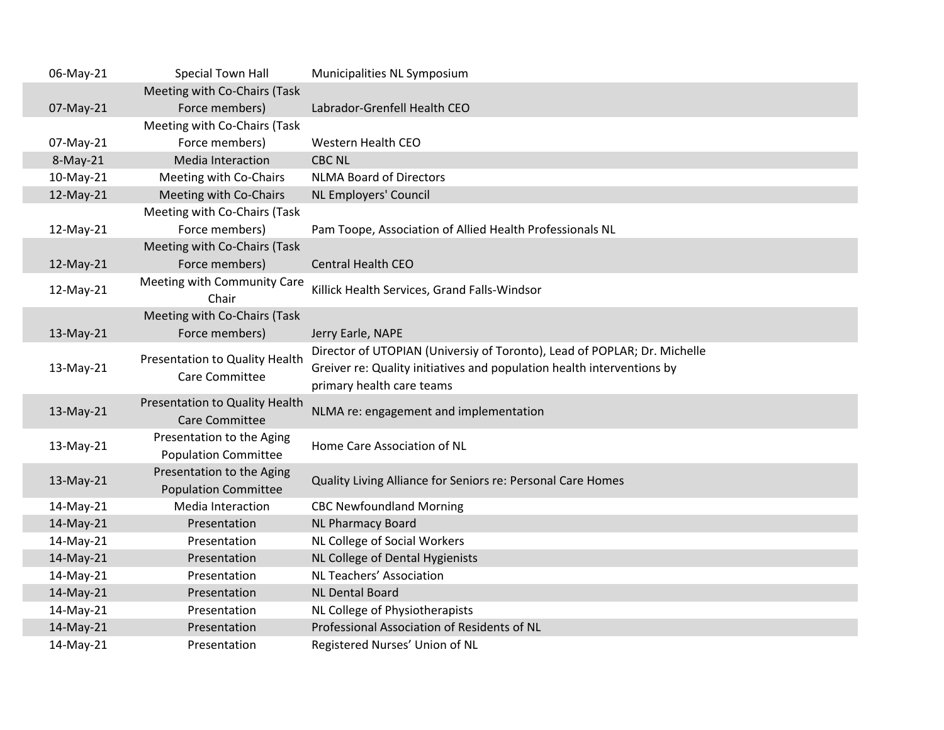| 06-May-21 | Special Town Hall              | Municipalities NL Symposium                                              |
|-----------|--------------------------------|--------------------------------------------------------------------------|
|           | Meeting with Co-Chairs (Task   |                                                                          |
| 07-May-21 | Force members)                 | Labrador-Grenfell Health CEO                                             |
|           | Meeting with Co-Chairs (Task   |                                                                          |
| 07-May-21 | Force members)                 | Western Health CEO                                                       |
| 8-May-21  | <b>Media Interaction</b>       | <b>CBC NL</b>                                                            |
| 10-May-21 | Meeting with Co-Chairs         | <b>NLMA Board of Directors</b>                                           |
| 12-May-21 | Meeting with Co-Chairs         | NL Employers' Council                                                    |
|           | Meeting with Co-Chairs (Task   |                                                                          |
| 12-May-21 | Force members)                 | Pam Toope, Association of Allied Health Professionals NL                 |
|           | Meeting with Co-Chairs (Task   |                                                                          |
| 12-May-21 | Force members)                 | <b>Central Health CEO</b>                                                |
| 12-May-21 | Meeting with Community Care    | Killick Health Services, Grand Falls-Windsor                             |
|           | Chair                          |                                                                          |
|           | Meeting with Co-Chairs (Task   |                                                                          |
| 13-May-21 | Force members)                 | Jerry Earle, NAPE                                                        |
|           | Presentation to Quality Health | Director of UTOPIAN (Universiy of Toronto), Lead of POPLAR; Dr. Michelle |
| 13-May-21 | Care Committee                 | Greiver re: Quality initiatives and population health interventions by   |
|           |                                | primary health care teams                                                |
| 13-May-21 | Presentation to Quality Health | NLMA re: engagement and implementation                                   |
|           | <b>Care Committee</b>          |                                                                          |
| 13-May-21 | Presentation to the Aging      | Home Care Association of NL                                              |
|           | <b>Population Committee</b>    |                                                                          |
| 13-May-21 | Presentation to the Aging      | Quality Living Alliance for Seniors re: Personal Care Homes              |
|           | <b>Population Committee</b>    |                                                                          |
| 14-May-21 | <b>Media Interaction</b>       | <b>CBC Newfoundland Morning</b>                                          |
| 14-May-21 | Presentation                   | <b>NL Pharmacy Board</b>                                                 |
| 14-May-21 | Presentation                   | NL College of Social Workers                                             |
| 14-May-21 | Presentation                   | NL College of Dental Hygienists                                          |
| 14-May-21 | Presentation                   | NL Teachers' Association                                                 |
| 14-May-21 | Presentation                   | <b>NL Dental Board</b>                                                   |
| 14-May-21 | Presentation                   | NL College of Physiotherapists                                           |
| 14-May-21 | Presentation                   | Professional Association of Residents of NL                              |
| 14-May-21 | Presentation                   | Registered Nurses' Union of NL                                           |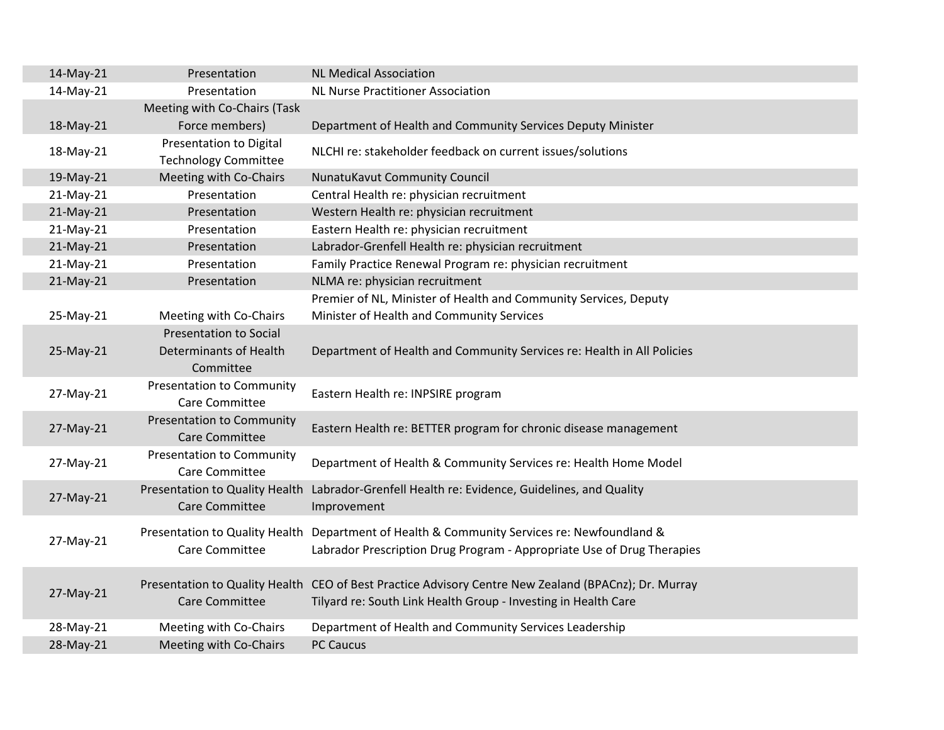| 14-May-21 | Presentation                                                  | <b>NL Medical Association</b>                                                                                                                                          |
|-----------|---------------------------------------------------------------|------------------------------------------------------------------------------------------------------------------------------------------------------------------------|
| 14-May-21 | Presentation                                                  | <b>NL Nurse Practitioner Association</b>                                                                                                                               |
|           | Meeting with Co-Chairs (Task                                  |                                                                                                                                                                        |
| 18-May-21 | Force members)                                                | Department of Health and Community Services Deputy Minister                                                                                                            |
| 18-May-21 | <b>Presentation to Digital</b><br><b>Technology Committee</b> | NLCHI re: stakeholder feedback on current issues/solutions                                                                                                             |
| 19-May-21 | Meeting with Co-Chairs                                        | NunatuKavut Community Council                                                                                                                                          |
| 21-May-21 | Presentation                                                  | Central Health re: physician recruitment                                                                                                                               |
| 21-May-21 | Presentation                                                  | Western Health re: physician recruitment                                                                                                                               |
| 21-May-21 | Presentation                                                  | Eastern Health re: physician recruitment                                                                                                                               |
| 21-May-21 | Presentation                                                  | Labrador-Grenfell Health re: physician recruitment                                                                                                                     |
| 21-May-21 | Presentation                                                  | Family Practice Renewal Program re: physician recruitment                                                                                                              |
| 21-May-21 | Presentation                                                  | NLMA re: physician recruitment                                                                                                                                         |
| 25-May-21 | Meeting with Co-Chairs                                        | Premier of NL, Minister of Health and Community Services, Deputy<br>Minister of Health and Community Services                                                          |
|           | <b>Presentation to Social</b>                                 |                                                                                                                                                                        |
| 25-May-21 | <b>Determinants of Health</b><br>Committee                    | Department of Health and Community Services re: Health in All Policies                                                                                                 |
| 27-May-21 | <b>Presentation to Community</b><br>Care Committee            | Eastern Health re: INPSIRE program                                                                                                                                     |
| 27-May-21 | <b>Presentation to Community</b><br>Care Committee            | Eastern Health re: BETTER program for chronic disease management                                                                                                       |
| 27-May-21 | <b>Presentation to Community</b><br>Care Committee            | Department of Health & Community Services re: Health Home Model                                                                                                        |
| 27-May-21 | Presentation to Quality Health<br><b>Care Committee</b>       | Labrador-Grenfell Health re: Evidence, Guidelines, and Quality<br>Improvement                                                                                          |
| 27-May-21 | Presentation to Quality Health<br>Care Committee              | Department of Health & Community Services re: Newfoundland &<br>Labrador Prescription Drug Program - Appropriate Use of Drug Therapies                                 |
| 27-May-21 | <b>Care Committee</b>                                         | Presentation to Quality Health CEO of Best Practice Advisory Centre New Zealand (BPACnz); Dr. Murray<br>Tilyard re: South Link Health Group - Investing in Health Care |
| 28-May-21 | Meeting with Co-Chairs                                        | Department of Health and Community Services Leadership                                                                                                                 |
| 28-May-21 | Meeting with Co-Chairs                                        | <b>PC Caucus</b>                                                                                                                                                       |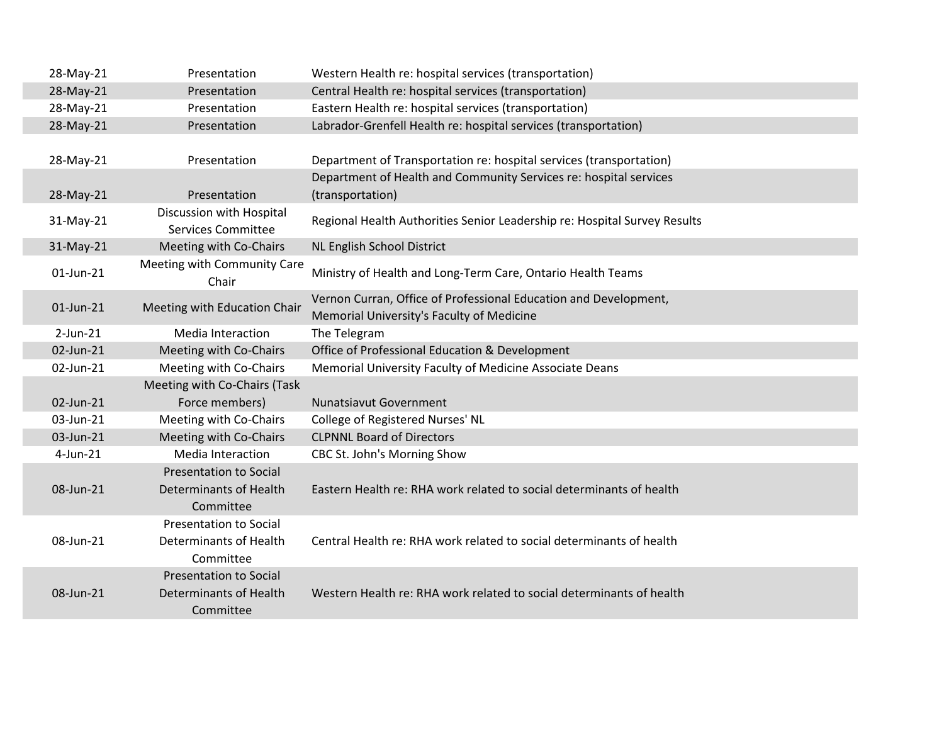| 28-May-21      | Presentation                                          | Western Health re: hospital services (transportation)                                                         |
|----------------|-------------------------------------------------------|---------------------------------------------------------------------------------------------------------------|
| 28-May-21      | Presentation                                          | Central Health re: hospital services (transportation)                                                         |
| 28-May-21      | Presentation                                          | Eastern Health re: hospital services (transportation)                                                         |
| 28-May-21      | Presentation                                          | Labrador-Grenfell Health re: hospital services (transportation)                                               |
|                |                                                       |                                                                                                               |
| 28-May-21      | Presentation                                          | Department of Transportation re: hospital services (transportation)                                           |
|                |                                                       | Department of Health and Community Services re: hospital services                                             |
| 28-May-21      | Presentation                                          | (transportation)                                                                                              |
| 31-May-21      | Discussion with Hospital<br><b>Services Committee</b> | Regional Health Authorities Senior Leadership re: Hospital Survey Results                                     |
| 31-May-21      | Meeting with Co-Chairs                                | NL English School District                                                                                    |
| 01-Jun-21      | Meeting with Community Care<br>Chair                  | Ministry of Health and Long-Term Care, Ontario Health Teams                                                   |
| 01-Jun-21      | Meeting with Education Chair                          | Vernon Curran, Office of Professional Education and Development,<br>Memorial University's Faculty of Medicine |
| $2$ -Jun- $21$ | Media Interaction                                     | The Telegram                                                                                                  |
| 02-Jun-21      | Meeting with Co-Chairs                                | Office of Professional Education & Development                                                                |
| 02-Jun-21      | Meeting with Co-Chairs                                | Memorial University Faculty of Medicine Associate Deans                                                       |
|                | Meeting with Co-Chairs (Task                          |                                                                                                               |
| 02-Jun-21      | Force members)                                        | <b>Nunatsiavut Government</b>                                                                                 |
| 03-Jun-21      | Meeting with Co-Chairs                                | College of Registered Nurses' NL                                                                              |
| 03-Jun-21      | Meeting with Co-Chairs                                | <b>CLPNNL Board of Directors</b>                                                                              |
| $4$ -Jun-21    | <b>Media Interaction</b>                              | CBC St. John's Morning Show                                                                                   |
|                | <b>Presentation to Social</b>                         |                                                                                                               |
| 08-Jun-21      | Determinants of Health                                | Eastern Health re: RHA work related to social determinants of health                                          |
|                | Committee                                             |                                                                                                               |
|                | <b>Presentation to Social</b>                         |                                                                                                               |
| 08-Jun-21      | Determinants of Health<br>Committee                   | Central Health re: RHA work related to social determinants of health                                          |
|                | <b>Presentation to Social</b>                         |                                                                                                               |
| 08-Jun-21      | <b>Determinants of Health</b>                         | Western Health re: RHA work related to social determinants of health                                          |
|                | Committee                                             |                                                                                                               |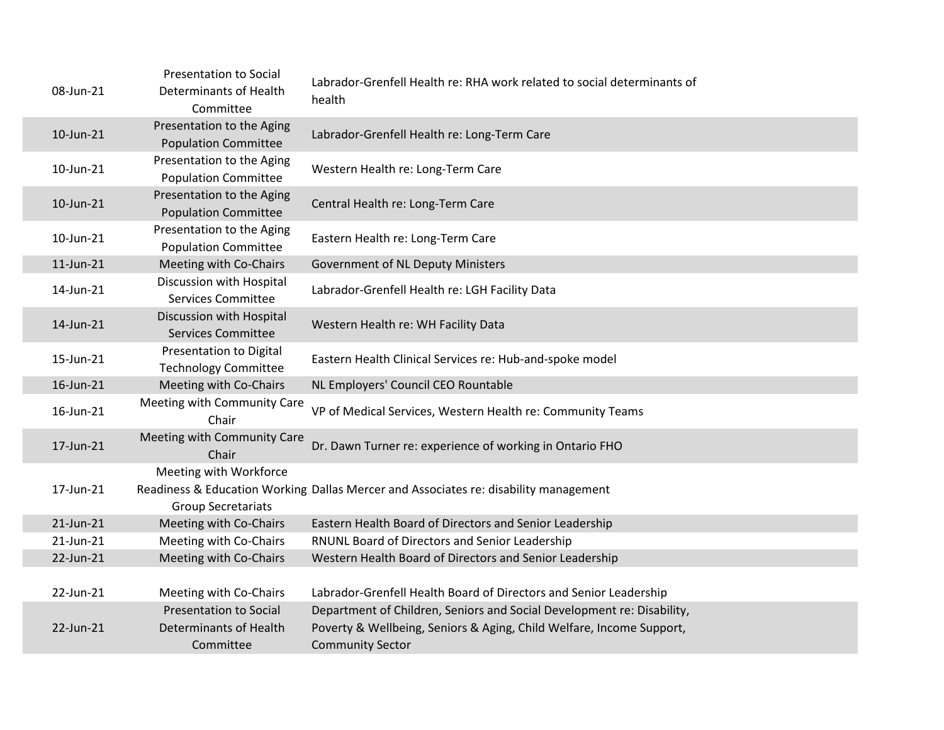| 08-Jun-21 | <b>Presentation to Social</b><br>Determinants of Health<br>Committee | Labrador-Grenfell Health re: RHA work related to social determinants of<br>health    |
|-----------|----------------------------------------------------------------------|--------------------------------------------------------------------------------------|
| 10-Jun-21 | Presentation to the Aging<br><b>Population Committee</b>             | Labrador-Grenfell Health re: Long-Term Care                                          |
| 10-Jun-21 | Presentation to the Aging<br><b>Population Committee</b>             | Western Health re: Long-Term Care                                                    |
| 10-Jun-21 | Presentation to the Aging<br><b>Population Committee</b>             | Central Health re: Long-Term Care                                                    |
| 10-Jun-21 | Presentation to the Aging<br><b>Population Committee</b>             | Eastern Health re: Long-Term Care                                                    |
| 11-Jun-21 | Meeting with Co-Chairs                                               | <b>Government of NL Deputy Ministers</b>                                             |
| 14-Jun-21 | Discussion with Hospital<br><b>Services Committee</b>                | Labrador-Grenfell Health re: LGH Facility Data                                       |
| 14-Jun-21 | Discussion with Hospital<br><b>Services Committee</b>                | Western Health re: WH Facility Data                                                  |
| 15-Jun-21 | Presentation to Digital<br><b>Technology Committee</b>               | Eastern Health Clinical Services re: Hub-and-spoke model                             |
| 16-Jun-21 | Meeting with Co-Chairs                                               | NL Employers' Council CEO Rountable                                                  |
| 16-Jun-21 | Meeting with Community Care<br>Chair                                 | VP of Medical Services, Western Health re: Community Teams                           |
| 17-Jun-21 | Meeting with Community Care<br>Chair                                 | Dr. Dawn Turner re: experience of working in Ontario FHO                             |
| 17-Jun-21 | Meeting with Workforce<br><b>Group Secretariats</b>                  | Readiness & Education Working Dallas Mercer and Associates re: disability management |
| 21-Jun-21 | Meeting with Co-Chairs                                               | Eastern Health Board of Directors and Senior Leadership                              |
| 21-Jun-21 | Meeting with Co-Chairs                                               | RNUNL Board of Directors and Senior Leadership                                       |
| 22-Jun-21 | Meeting with Co-Chairs                                               | Western Health Board of Directors and Senior Leadership                              |
|           |                                                                      |                                                                                      |
| 22-Jun-21 | Meeting with Co-Chairs                                               | Labrador-Grenfell Health Board of Directors and Senior Leadership                    |
|           | <b>Presentation to Social</b>                                        | Department of Children, Seniors and Social Development re: Disability,               |
| 22-Jun-21 | Determinants of Health                                               | Poverty & Wellbeing, Seniors & Aging, Child Welfare, Income Support,                 |
|           | Committee                                                            | <b>Community Sector</b>                                                              |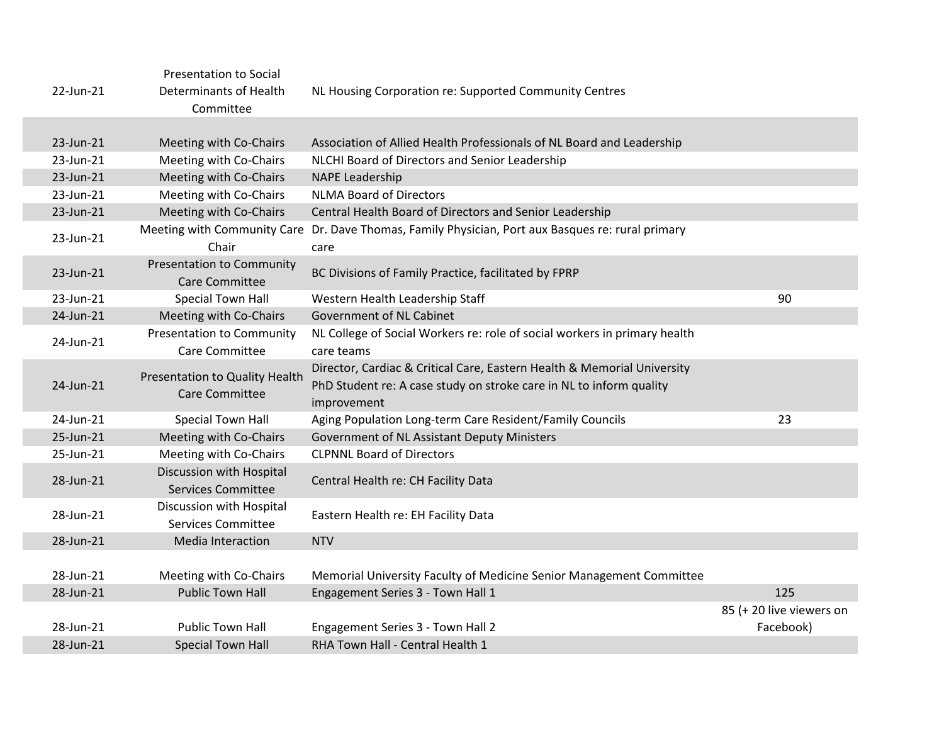|           | <b>Presentation to Social</b>                             |                                                                                                                                                               |                          |
|-----------|-----------------------------------------------------------|---------------------------------------------------------------------------------------------------------------------------------------------------------------|--------------------------|
| 22-Jun-21 | Determinants of Health<br>Committee                       | NL Housing Corporation re: Supported Community Centres                                                                                                        |                          |
|           |                                                           |                                                                                                                                                               |                          |
| 23-Jun-21 | Meeting with Co-Chairs                                    | Association of Allied Health Professionals of NL Board and Leadership                                                                                         |                          |
| 23-Jun-21 | Meeting with Co-Chairs                                    | NLCHI Board of Directors and Senior Leadership                                                                                                                |                          |
| 23-Jun-21 | Meeting with Co-Chairs                                    | <b>NAPE Leadership</b>                                                                                                                                        |                          |
| 23-Jun-21 | Meeting with Co-Chairs                                    | <b>NLMA Board of Directors</b>                                                                                                                                |                          |
| 23-Jun-21 | Meeting with Co-Chairs                                    | Central Health Board of Directors and Senior Leadership                                                                                                       |                          |
| 23-Jun-21 | Chair                                                     | Meeting with Community Care Dr. Dave Thomas, Family Physician, Port aux Basques re: rural primary<br>care                                                     |                          |
| 23-Jun-21 | <b>Presentation to Community</b><br><b>Care Committee</b> | BC Divisions of Family Practice, facilitated by FPRP                                                                                                          |                          |
| 23-Jun-21 | <b>Special Town Hall</b>                                  | Western Health Leadership Staff                                                                                                                               | 90                       |
| 24-Jun-21 | Meeting with Co-Chairs                                    | <b>Government of NL Cabinet</b>                                                                                                                               |                          |
| 24-Jun-21 | <b>Presentation to Community</b><br>Care Committee        | NL College of Social Workers re: role of social workers in primary health<br>care teams                                                                       |                          |
| 24-Jun-21 | Presentation to Quality Health<br><b>Care Committee</b>   | Director, Cardiac & Critical Care, Eastern Health & Memorial University<br>PhD Student re: A case study on stroke care in NL to inform quality<br>improvement |                          |
| 24-Jun-21 | Special Town Hall                                         | Aging Population Long-term Care Resident/Family Councils                                                                                                      | 23                       |
| 25-Jun-21 | Meeting with Co-Chairs                                    | Government of NL Assistant Deputy Ministers                                                                                                                   |                          |
| 25-Jun-21 | Meeting with Co-Chairs                                    | <b>CLPNNL Board of Directors</b>                                                                                                                              |                          |
| 28-Jun-21 | Discussion with Hospital<br><b>Services Committee</b>     | Central Health re: CH Facility Data                                                                                                                           |                          |
| 28-Jun-21 | Discussion with Hospital<br><b>Services Committee</b>     | Eastern Health re: EH Facility Data                                                                                                                           |                          |
| 28-Jun-21 | Media Interaction                                         | <b>NTV</b>                                                                                                                                                    |                          |
|           |                                                           |                                                                                                                                                               |                          |
| 28-Jun-21 | Meeting with Co-Chairs                                    | Memorial University Faculty of Medicine Senior Management Committee                                                                                           |                          |
| 28-Jun-21 | <b>Public Town Hall</b>                                   | Engagement Series 3 - Town Hall 1                                                                                                                             | 125                      |
|           |                                                           |                                                                                                                                                               | 85 (+ 20 live viewers on |
| 28-Jun-21 | <b>Public Town Hall</b>                                   | Engagement Series 3 - Town Hall 2                                                                                                                             | Facebook)                |
| 28-Jun-21 | <b>Special Town Hall</b>                                  | RHA Town Hall - Central Health 1                                                                                                                              |                          |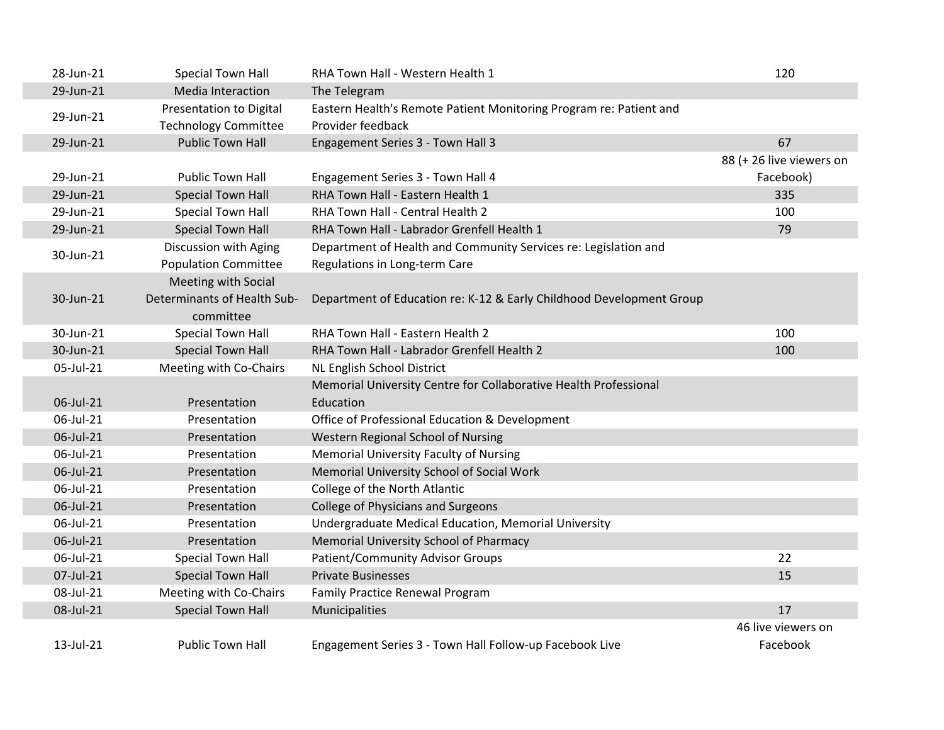| 28-Jun-21 | <b>Special Town Hall</b>       | RHA Town Hall - Western Health 1                                     | 120                      |
|-----------|--------------------------------|----------------------------------------------------------------------|--------------------------|
| 29-Jun-21 | Media Interaction              | The Telegram                                                         |                          |
| 29-Jun-21 | <b>Presentation to Digital</b> | Eastern Health's Remote Patient Monitoring Program re: Patient and   |                          |
|           | <b>Technology Committee</b>    | Provider feedback                                                    |                          |
| 29-Jun-21 | <b>Public Town Hall</b>        | Engagement Series 3 - Town Hall 3                                    | 67                       |
|           |                                |                                                                      | 88 (+ 26 live viewers on |
| 29-Jun-21 | <b>Public Town Hall</b>        | Engagement Series 3 - Town Hall 4                                    | Facebook)                |
| 29-Jun-21 | <b>Special Town Hall</b>       | RHA Town Hall - Eastern Health 1                                     | 335                      |
| 29-Jun-21 | <b>Special Town Hall</b>       | RHA Town Hall - Central Health 2                                     | 100                      |
| 29-Jun-21 | <b>Special Town Hall</b>       | RHA Town Hall - Labrador Grenfell Health 1                           | 79                       |
| 30-Jun-21 | Discussion with Aging          | Department of Health and Community Services re: Legislation and      |                          |
|           | <b>Population Committee</b>    | Regulations in Long-term Care                                        |                          |
|           | Meeting with Social            |                                                                      |                          |
| 30-Jun-21 | Determinants of Health Sub-    | Department of Education re: K-12 & Early Childhood Development Group |                          |
|           | committee                      |                                                                      |                          |
| 30-Jun-21 | Special Town Hall              | RHA Town Hall - Eastern Health 2                                     | 100                      |
| 30-Jun-21 | <b>Special Town Hall</b>       | RHA Town Hall - Labrador Grenfell Health 2                           | 100                      |
| 05-Jul-21 | Meeting with Co-Chairs         | NL English School District                                           |                          |
|           |                                | Memorial University Centre for Collaborative Health Professional     |                          |
| 06-Jul-21 | Presentation                   | Education                                                            |                          |
| 06-Jul-21 | Presentation                   | Office of Professional Education & Development                       |                          |
| 06-Jul-21 | Presentation                   | Western Regional School of Nursing                                   |                          |
| 06-Jul-21 | Presentation                   | <b>Memorial University Faculty of Nursing</b>                        |                          |
| 06-Jul-21 | Presentation                   | Memorial University School of Social Work                            |                          |
| 06-Jul-21 | Presentation                   | College of the North Atlantic                                        |                          |
| 06-Jul-21 | Presentation                   | <b>College of Physicians and Surgeons</b>                            |                          |
| 06-Jul-21 | Presentation                   | Undergraduate Medical Education, Memorial University                 |                          |
| 06-Jul-21 | Presentation                   | Memorial University School of Pharmacy                               |                          |
| 06-Jul-21 | Special Town Hall              | <b>Patient/Community Advisor Groups</b>                              | 22                       |
| 07-Jul-21 | <b>Special Town Hall</b>       | <b>Private Businesses</b>                                            | 15                       |
| 08-Jul-21 | Meeting with Co-Chairs         | Family Practice Renewal Program                                      |                          |
| 08-Jul-21 | <b>Special Town Hall</b>       | Municipalities                                                       | 17                       |
|           |                                |                                                                      | 46 live viewers on       |
| 13-Jul-21 | <b>Public Town Hall</b>        | Engagement Series 3 - Town Hall Follow-up Facebook Live              | Facebook                 |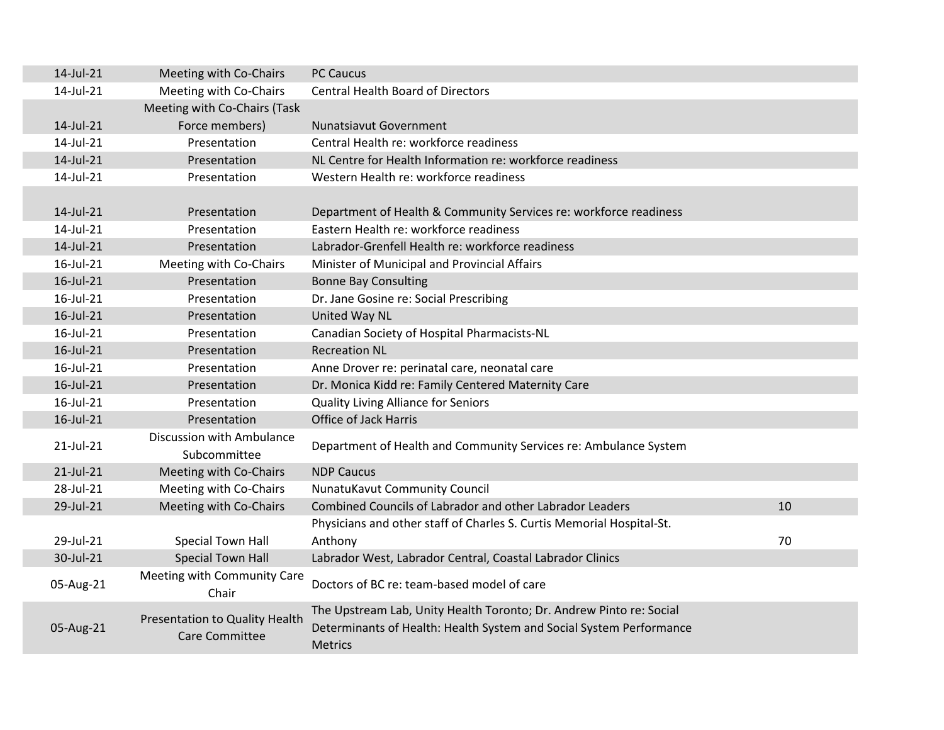| 14-Jul-21 | Meeting with Co-Chairs                                  | <b>PC Caucus</b>                                                                                                                                             |    |
|-----------|---------------------------------------------------------|--------------------------------------------------------------------------------------------------------------------------------------------------------------|----|
| 14-Jul-21 | Meeting with Co-Chairs                                  | <b>Central Health Board of Directors</b>                                                                                                                     |    |
|           | Meeting with Co-Chairs (Task                            |                                                                                                                                                              |    |
| 14-Jul-21 | Force members)                                          | <b>Nunatsiavut Government</b>                                                                                                                                |    |
| 14-Jul-21 | Presentation                                            | Central Health re: workforce readiness                                                                                                                       |    |
| 14-Jul-21 | Presentation                                            | NL Centre for Health Information re: workforce readiness                                                                                                     |    |
| 14-Jul-21 | Presentation                                            | Western Health re: workforce readiness                                                                                                                       |    |
|           |                                                         |                                                                                                                                                              |    |
| 14-Jul-21 | Presentation                                            | Department of Health & Community Services re: workforce readiness                                                                                            |    |
| 14-Jul-21 | Presentation                                            | Eastern Health re: workforce readiness                                                                                                                       |    |
| 14-Jul-21 | Presentation                                            | Labrador-Grenfell Health re: workforce readiness                                                                                                             |    |
| 16-Jul-21 | Meeting with Co-Chairs                                  | Minister of Municipal and Provincial Affairs                                                                                                                 |    |
| 16-Jul-21 | Presentation                                            | <b>Bonne Bay Consulting</b>                                                                                                                                  |    |
| 16-Jul-21 | Presentation                                            | Dr. Jane Gosine re: Social Prescribing                                                                                                                       |    |
| 16-Jul-21 | Presentation                                            | United Way NL                                                                                                                                                |    |
| 16-Jul-21 | Presentation                                            | Canadian Society of Hospital Pharmacists-NL                                                                                                                  |    |
| 16-Jul-21 | Presentation                                            | <b>Recreation NL</b>                                                                                                                                         |    |
| 16-Jul-21 | Presentation                                            | Anne Drover re: perinatal care, neonatal care                                                                                                                |    |
| 16-Jul-21 | Presentation                                            | Dr. Monica Kidd re: Family Centered Maternity Care                                                                                                           |    |
| 16-Jul-21 | Presentation                                            | <b>Quality Living Alliance for Seniors</b>                                                                                                                   |    |
| 16-Jul-21 | Presentation                                            | Office of Jack Harris                                                                                                                                        |    |
| 21-Jul-21 | Discussion with Ambulance<br>Subcommittee               | Department of Health and Community Services re: Ambulance System                                                                                             |    |
| 21-Jul-21 | Meeting with Co-Chairs                                  | <b>NDP Caucus</b>                                                                                                                                            |    |
| 28-Jul-21 | Meeting with Co-Chairs                                  | <b>NunatuKavut Community Council</b>                                                                                                                         |    |
| 29-Jul-21 | Meeting with Co-Chairs                                  | Combined Councils of Labrador and other Labrador Leaders                                                                                                     | 10 |
|           |                                                         | Physicians and other staff of Charles S. Curtis Memorial Hospital-St.                                                                                        |    |
| 29-Jul-21 | <b>Special Town Hall</b>                                | Anthony                                                                                                                                                      | 70 |
| 30-Jul-21 | <b>Special Town Hall</b>                                | Labrador West, Labrador Central, Coastal Labrador Clinics                                                                                                    |    |
| 05-Aug-21 | Meeting with Community Care<br>Chair                    | Doctors of BC re: team-based model of care                                                                                                                   |    |
| 05-Aug-21 | Presentation to Quality Health<br><b>Care Committee</b> | The Upstream Lab, Unity Health Toronto; Dr. Andrew Pinto re: Social<br>Determinants of Health: Health System and Social System Performance<br><b>Metrics</b> |    |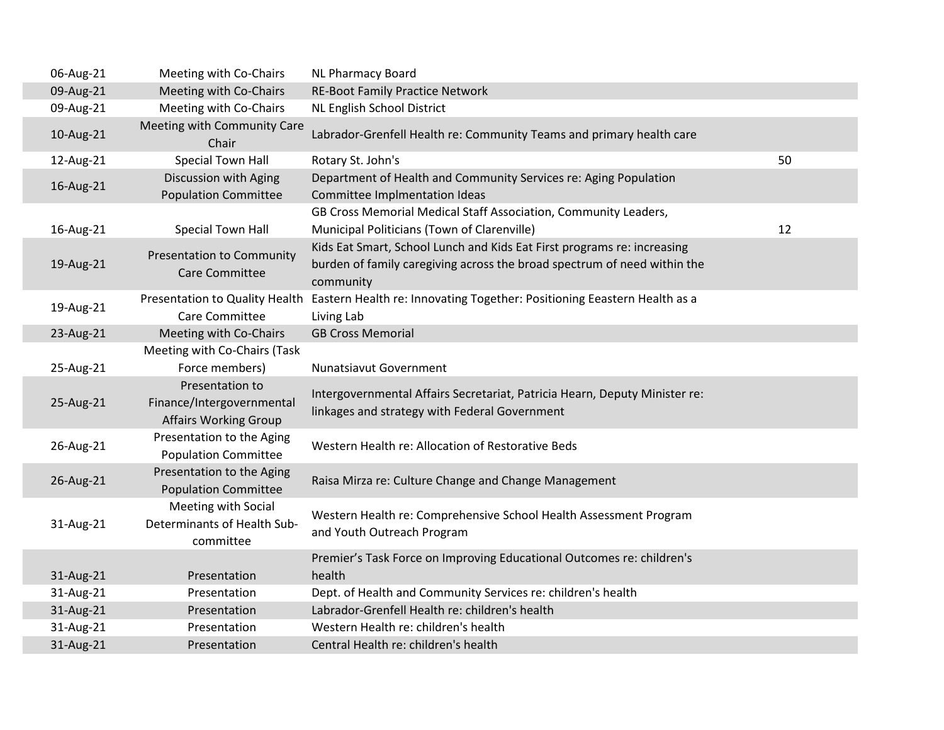| 06-Aug-21 | Meeting with Co-Chairs                                                       | NL Pharmacy Board                                                                                                                                                |    |
|-----------|------------------------------------------------------------------------------|------------------------------------------------------------------------------------------------------------------------------------------------------------------|----|
| 09-Aug-21 | Meeting with Co-Chairs                                                       | <b>RE-Boot Family Practice Network</b>                                                                                                                           |    |
| 09-Aug-21 | Meeting with Co-Chairs                                                       | NL English School District                                                                                                                                       |    |
| 10-Aug-21 | Meeting with Community Care<br>Chair                                         | Labrador-Grenfell Health re: Community Teams and primary health care                                                                                             |    |
| 12-Aug-21 | <b>Special Town Hall</b>                                                     | Rotary St. John's                                                                                                                                                | 50 |
| 16-Aug-21 | Discussion with Aging<br><b>Population Committee</b>                         | Department of Health and Community Services re: Aging Population<br>Committee Implmentation Ideas                                                                |    |
| 16-Aug-21 | Special Town Hall                                                            | GB Cross Memorial Medical Staff Association, Community Leaders,<br>Municipal Politicians (Town of Clarenville)                                                   | 12 |
| 19-Aug-21 | <b>Presentation to Community</b><br><b>Care Committee</b>                    | Kids Eat Smart, School Lunch and Kids Eat First programs re: increasing<br>burden of family caregiving across the broad spectrum of need within the<br>community |    |
| 19-Aug-21 | Presentation to Quality Health<br>Care Committee                             | Eastern Health re: Innovating Together: Positioning Eeastern Health as a<br>Living Lab                                                                           |    |
| 23-Aug-21 | Meeting with Co-Chairs                                                       | <b>GB Cross Memorial</b>                                                                                                                                         |    |
| 25-Aug-21 | Meeting with Co-Chairs (Task<br>Force members)                               | Nunatsiavut Government                                                                                                                                           |    |
| 25-Aug-21 | Presentation to<br>Finance/Intergovernmental<br><b>Affairs Working Group</b> | Intergovernmental Affairs Secretariat, Patricia Hearn, Deputy Minister re:<br>linkages and strategy with Federal Government                                      |    |
| 26-Aug-21 | Presentation to the Aging<br><b>Population Committee</b>                     | Western Health re: Allocation of Restorative Beds                                                                                                                |    |
| 26-Aug-21 | Presentation to the Aging<br><b>Population Committee</b>                     | Raisa Mirza re: Culture Change and Change Management                                                                                                             |    |
| 31-Aug-21 | Meeting with Social<br>Determinants of Health Sub-<br>committee              | Western Health re: Comprehensive School Health Assessment Program<br>and Youth Outreach Program                                                                  |    |
|           |                                                                              | Premier's Task Force on Improving Educational Outcomes re: children's                                                                                            |    |
| 31-Aug-21 | Presentation                                                                 | health                                                                                                                                                           |    |
| 31-Aug-21 | Presentation                                                                 | Dept. of Health and Community Services re: children's health                                                                                                     |    |
| 31-Aug-21 | Presentation                                                                 | Labrador-Grenfell Health re: children's health                                                                                                                   |    |
| 31-Aug-21 | Presentation                                                                 | Western Health re: children's health                                                                                                                             |    |
| 31-Aug-21 | Presentation                                                                 | Central Health re: children's health                                                                                                                             |    |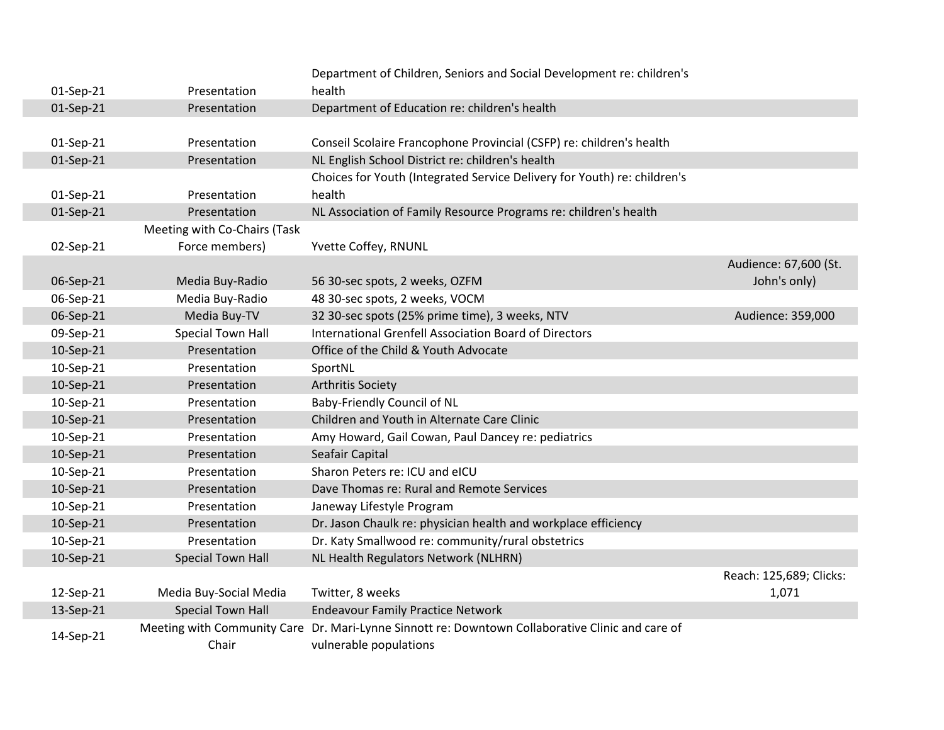|           |                              | Department of Children, Seniors and Social Development re: children's                            |                         |
|-----------|------------------------------|--------------------------------------------------------------------------------------------------|-------------------------|
| 01-Sep-21 | Presentation                 | health                                                                                           |                         |
| 01-Sep-21 | Presentation                 | Department of Education re: children's health                                                    |                         |
|           |                              |                                                                                                  |                         |
| 01-Sep-21 | Presentation                 | Conseil Scolaire Francophone Provincial (CSFP) re: children's health                             |                         |
| 01-Sep-21 | Presentation                 | NL English School District re: children's health                                                 |                         |
|           |                              | Choices for Youth (Integrated Service Delivery for Youth) re: children's                         |                         |
| 01-Sep-21 | Presentation                 | health                                                                                           |                         |
| 01-Sep-21 | Presentation                 | NL Association of Family Resource Programs re: children's health                                 |                         |
|           | Meeting with Co-Chairs (Task |                                                                                                  |                         |
| 02-Sep-21 | Force members)               | Yvette Coffey, RNUNL                                                                             |                         |
|           |                              |                                                                                                  | Audience: 67,600 (St.   |
| 06-Sep-21 | Media Buy-Radio              | 56 30-sec spots, 2 weeks, OZFM                                                                   | John's only)            |
| 06-Sep-21 | Media Buy-Radio              | 48 30-sec spots, 2 weeks, VOCM                                                                   |                         |
| 06-Sep-21 | Media Buy-TV                 | 32 30-sec spots (25% prime time), 3 weeks, NTV                                                   | Audience: 359,000       |
| 09-Sep-21 | Special Town Hall            | International Grenfell Association Board of Directors                                            |                         |
| 10-Sep-21 | Presentation                 | Office of the Child & Youth Advocate                                                             |                         |
| 10-Sep-21 | Presentation                 | SportNL                                                                                          |                         |
| 10-Sep-21 | Presentation                 | <b>Arthritis Society</b>                                                                         |                         |
| 10-Sep-21 | Presentation                 | Baby-Friendly Council of NL                                                                      |                         |
| 10-Sep-21 | Presentation                 | Children and Youth in Alternate Care Clinic                                                      |                         |
| 10-Sep-21 | Presentation                 | Amy Howard, Gail Cowan, Paul Dancey re: pediatrics                                               |                         |
| 10-Sep-21 | Presentation                 | Seafair Capital                                                                                  |                         |
| 10-Sep-21 | Presentation                 | Sharon Peters re: ICU and eICU                                                                   |                         |
| 10-Sep-21 | Presentation                 | Dave Thomas re: Rural and Remote Services                                                        |                         |
| 10-Sep-21 | Presentation                 | Janeway Lifestyle Program                                                                        |                         |
| 10-Sep-21 | Presentation                 | Dr. Jason Chaulk re: physician health and workplace efficiency                                   |                         |
| 10-Sep-21 | Presentation                 | Dr. Katy Smallwood re: community/rural obstetrics                                                |                         |
| 10-Sep-21 | <b>Special Town Hall</b>     | NL Health Regulators Network (NLHRN)                                                             |                         |
|           |                              |                                                                                                  | Reach: 125,689; Clicks: |
| 12-Sep-21 | Media Buy-Social Media       | Twitter, 8 weeks                                                                                 | 1,071                   |
| 13-Sep-21 | <b>Special Town Hall</b>     | <b>Endeavour Family Practice Network</b>                                                         |                         |
| 14-Sep-21 |                              | Meeting with Community Care Dr. Mari-Lynne Sinnott re: Downtown Collaborative Clinic and care of |                         |
|           | Chair                        | vulnerable populations                                                                           |                         |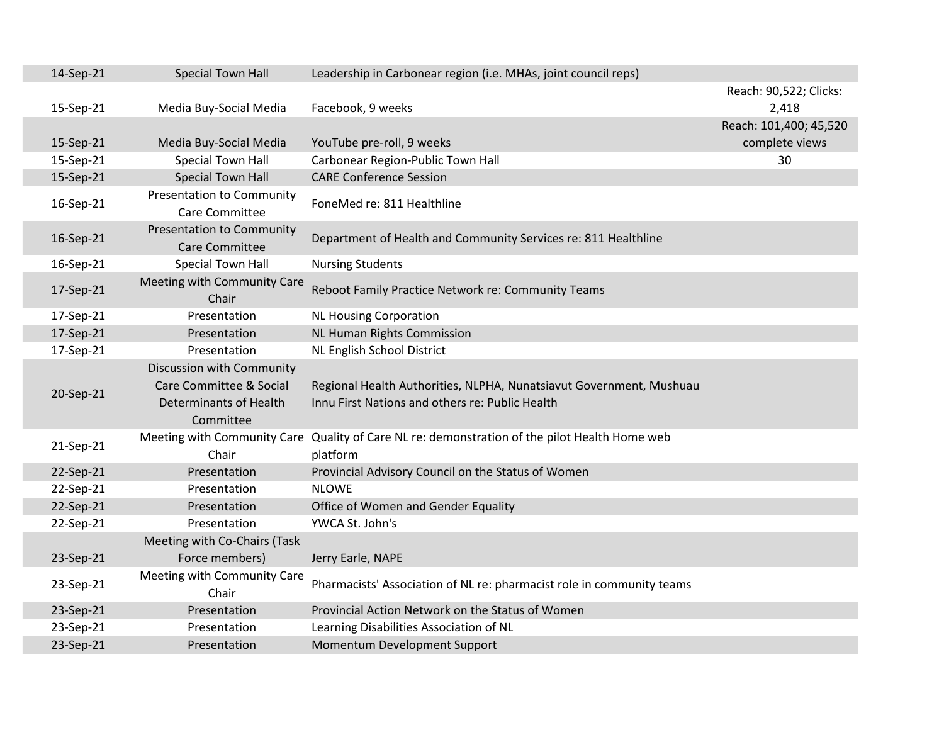| 14-Sep-21 | <b>Special Town Hall</b>         | Leadership in Carbonear region (i.e. MHAs, joint council reps)                                |                        |
|-----------|----------------------------------|-----------------------------------------------------------------------------------------------|------------------------|
|           |                                  |                                                                                               | Reach: 90,522; Clicks: |
| 15-Sep-21 | Media Buy-Social Media           | Facebook, 9 weeks                                                                             | 2,418                  |
|           |                                  |                                                                                               | Reach: 101,400; 45,520 |
| 15-Sep-21 | Media Buy-Social Media           | YouTube pre-roll, 9 weeks                                                                     | complete views         |
| 15-Sep-21 | <b>Special Town Hall</b>         | Carbonear Region-Public Town Hall                                                             | 30                     |
| 15-Sep-21 | <b>Special Town Hall</b>         | <b>CARE Conference Session</b>                                                                |                        |
|           | <b>Presentation to Community</b> | FoneMed re: 811 Healthline                                                                    |                        |
| 16-Sep-21 | Care Committee                   |                                                                                               |                        |
|           | <b>Presentation to Community</b> |                                                                                               |                        |
| 16-Sep-21 | Care Committee                   | Department of Health and Community Services re: 811 Healthline                                |                        |
| 16-Sep-21 | <b>Special Town Hall</b>         | <b>Nursing Students</b>                                                                       |                        |
|           | Meeting with Community Care      | Reboot Family Practice Network re: Community Teams                                            |                        |
| 17-Sep-21 | Chair                            |                                                                                               |                        |
| 17-Sep-21 | Presentation                     | <b>NL Housing Corporation</b>                                                                 |                        |
| 17-Sep-21 | Presentation                     | <b>NL Human Rights Commission</b>                                                             |                        |
| 17-Sep-21 | Presentation                     | NL English School District                                                                    |                        |
|           | Discussion with Community        |                                                                                               |                        |
| 20-Sep-21 | Care Committee & Social          | Regional Health Authorities, NLPHA, Nunatsiavut Government, Mushuau                           |                        |
|           | <b>Determinants of Health</b>    | Innu First Nations and others re: Public Health                                               |                        |
|           | Committee                        |                                                                                               |                        |
| 21-Sep-21 |                                  | Meeting with Community Care Quality of Care NL re: demonstration of the pilot Health Home web |                        |
|           | Chair                            | platform                                                                                      |                        |
| 22-Sep-21 | Presentation                     | Provincial Advisory Council on the Status of Women                                            |                        |
| 22-Sep-21 | Presentation                     | <b>NLOWE</b>                                                                                  |                        |
| 22-Sep-21 | Presentation                     | Office of Women and Gender Equality                                                           |                        |
| 22-Sep-21 | Presentation                     | YWCA St. John's                                                                               |                        |
|           | Meeting with Co-Chairs (Task     |                                                                                               |                        |
| 23-Sep-21 | Force members)                   | Jerry Earle, NAPE                                                                             |                        |
| 23-Sep-21 | Meeting with Community Care      | Pharmacists' Association of NL re: pharmacist role in community teams                         |                        |
|           | Chair                            |                                                                                               |                        |
| 23-Sep-21 | Presentation                     | Provincial Action Network on the Status of Women                                              |                        |
| 23-Sep-21 | Presentation                     | Learning Disabilities Association of NL                                                       |                        |
| 23-Sep-21 | Presentation                     | Momentum Development Support                                                                  |                        |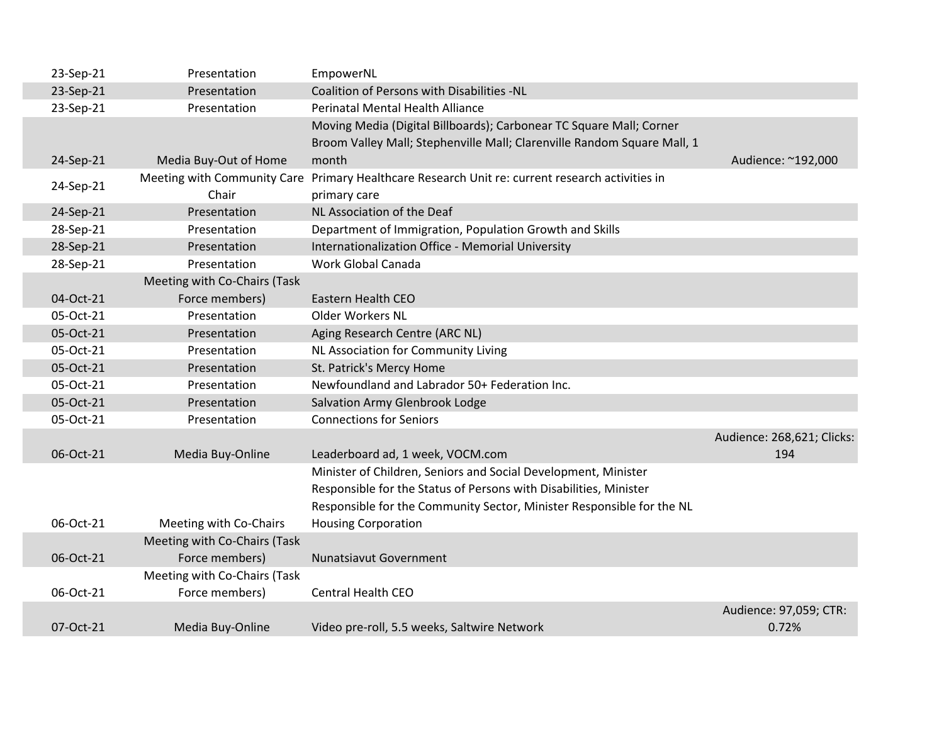| 23-Sep-21 | Presentation                 | EmpowerNL                                                               |                            |
|-----------|------------------------------|-------------------------------------------------------------------------|----------------------------|
| 23-Sep-21 | Presentation                 | Coalition of Persons with Disabilities -NL                              |                            |
| 23-Sep-21 | Presentation                 | Perinatal Mental Health Alliance                                        |                            |
|           |                              | Moving Media (Digital Billboards); Carbonear TC Square Mall; Corner     |                            |
|           |                              | Broom Valley Mall; Stephenville Mall; Clarenville Random Square Mall, 1 |                            |
| 24-Sep-21 | Media Buy-Out of Home        | month                                                                   | Audience: ~192,000         |
| 24-Sep-21 | Meeting with Community Care  | Primary Healthcare Research Unit re: current research activities in     |                            |
|           | Chair                        | primary care                                                            |                            |
| 24-Sep-21 | Presentation                 | NL Association of the Deaf                                              |                            |
| 28-Sep-21 | Presentation                 | Department of Immigration, Population Growth and Skills                 |                            |
| 28-Sep-21 | Presentation                 | Internationalization Office - Memorial University                       |                            |
| 28-Sep-21 | Presentation                 | Work Global Canada                                                      |                            |
|           | Meeting with Co-Chairs (Task |                                                                         |                            |
| 04-Oct-21 | Force members)               | Eastern Health CEO                                                      |                            |
| 05-Oct-21 | Presentation                 | Older Workers NL                                                        |                            |
| 05-Oct-21 | Presentation                 | Aging Research Centre (ARC NL)                                          |                            |
| 05-Oct-21 | Presentation                 | NL Association for Community Living                                     |                            |
| 05-Oct-21 | Presentation                 | St. Patrick's Mercy Home                                                |                            |
| 05-Oct-21 | Presentation                 | Newfoundland and Labrador 50+ Federation Inc.                           |                            |
| 05-Oct-21 | Presentation                 | Salvation Army Glenbrook Lodge                                          |                            |
| 05-Oct-21 | Presentation                 | <b>Connections for Seniors</b>                                          |                            |
|           |                              |                                                                         | Audience: 268,621; Clicks: |
| 06-Oct-21 | Media Buy-Online             | Leaderboard ad, 1 week, VOCM.com                                        | 194                        |
|           |                              | Minister of Children, Seniors and Social Development, Minister          |                            |
|           |                              | Responsible for the Status of Persons with Disabilities, Minister       |                            |
|           |                              | Responsible for the Community Sector, Minister Responsible for the NL   |                            |
| 06-Oct-21 | Meeting with Co-Chairs       | <b>Housing Corporation</b>                                              |                            |
|           | Meeting with Co-Chairs (Task |                                                                         |                            |
| 06-Oct-21 | Force members)               | <b>Nunatsiavut Government</b>                                           |                            |
|           | Meeting with Co-Chairs (Task |                                                                         |                            |
| 06-Oct-21 | Force members)               | <b>Central Health CEO</b>                                               |                            |
|           |                              |                                                                         | Audience: 97,059; CTR:     |
| 07-Oct-21 | Media Buy-Online             | Video pre-roll, 5.5 weeks, Saltwire Network                             | 0.72%                      |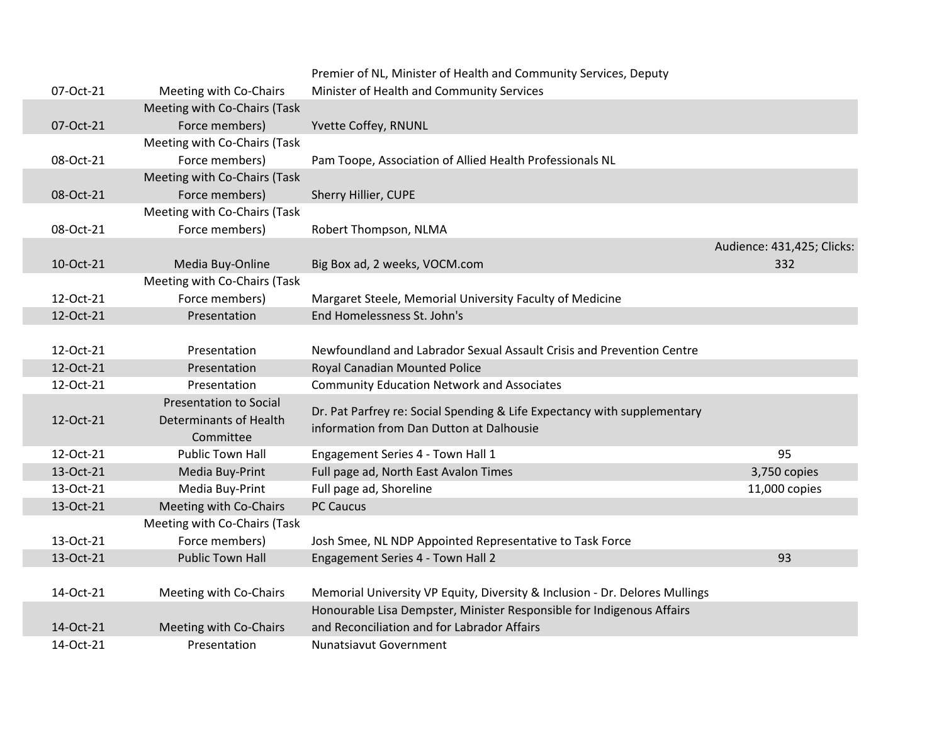|           |                               | Premier of NL, Minister of Health and Community Services, Deputy            |                            |
|-----------|-------------------------------|-----------------------------------------------------------------------------|----------------------------|
| 07-Oct-21 | Meeting with Co-Chairs        | Minister of Health and Community Services                                   |                            |
|           | Meeting with Co-Chairs (Task  |                                                                             |                            |
| 07-Oct-21 | Force members)                | Yvette Coffey, RNUNL                                                        |                            |
|           | Meeting with Co-Chairs (Task  |                                                                             |                            |
| 08-Oct-21 | Force members)                | Pam Toope, Association of Allied Health Professionals NL                    |                            |
|           | Meeting with Co-Chairs (Task  |                                                                             |                            |
| 08-Oct-21 | Force members)                | Sherry Hillier, CUPE                                                        |                            |
|           | Meeting with Co-Chairs (Task  |                                                                             |                            |
| 08-Oct-21 | Force members)                | Robert Thompson, NLMA                                                       |                            |
|           |                               |                                                                             | Audience: 431,425; Clicks: |
| 10-Oct-21 | Media Buy-Online              | Big Box ad, 2 weeks, VOCM.com                                               | 332                        |
|           | Meeting with Co-Chairs (Task  |                                                                             |                            |
| 12-Oct-21 | Force members)                | Margaret Steele, Memorial University Faculty of Medicine                    |                            |
| 12-Oct-21 | Presentation                  | End Homelessness St. John's                                                 |                            |
|           |                               |                                                                             |                            |
| 12-Oct-21 | Presentation                  | Newfoundland and Labrador Sexual Assault Crisis and Prevention Centre       |                            |
| 12-Oct-21 | Presentation                  | Royal Canadian Mounted Police                                               |                            |
| 12-Oct-21 | Presentation                  | <b>Community Education Network and Associates</b>                           |                            |
|           | <b>Presentation to Social</b> | Dr. Pat Parfrey re: Social Spending & Life Expectancy with supplementary    |                            |
| 12-Oct-21 | <b>Determinants of Health</b> | information from Dan Dutton at Dalhousie                                    |                            |
|           | Committee                     |                                                                             |                            |
| 12-Oct-21 | <b>Public Town Hall</b>       | Engagement Series 4 - Town Hall 1                                           | 95                         |
| 13-Oct-21 | Media Buy-Print               | Full page ad, North East Avalon Times                                       | 3,750 copies               |
| 13-Oct-21 | Media Buy-Print               | Full page ad, Shoreline                                                     | 11,000 copies              |
| 13-Oct-21 | Meeting with Co-Chairs        | <b>PC Caucus</b>                                                            |                            |
|           | Meeting with Co-Chairs (Task  |                                                                             |                            |
| 13-Oct-21 | Force members)                | Josh Smee, NL NDP Appointed Representative to Task Force                    |                            |
| 13-Oct-21 | <b>Public Town Hall</b>       | Engagement Series 4 - Town Hall 2                                           | 93                         |
|           |                               |                                                                             |                            |
| 14-Oct-21 | Meeting with Co-Chairs        | Memorial University VP Equity, Diversity & Inclusion - Dr. Delores Mullings |                            |
|           |                               | Honourable Lisa Dempster, Minister Responsible for Indigenous Affairs       |                            |
| 14-Oct-21 | Meeting with Co-Chairs        | and Reconciliation and for Labrador Affairs                                 |                            |
| 14-Oct-21 | Presentation                  | Nunatsiavut Government                                                      |                            |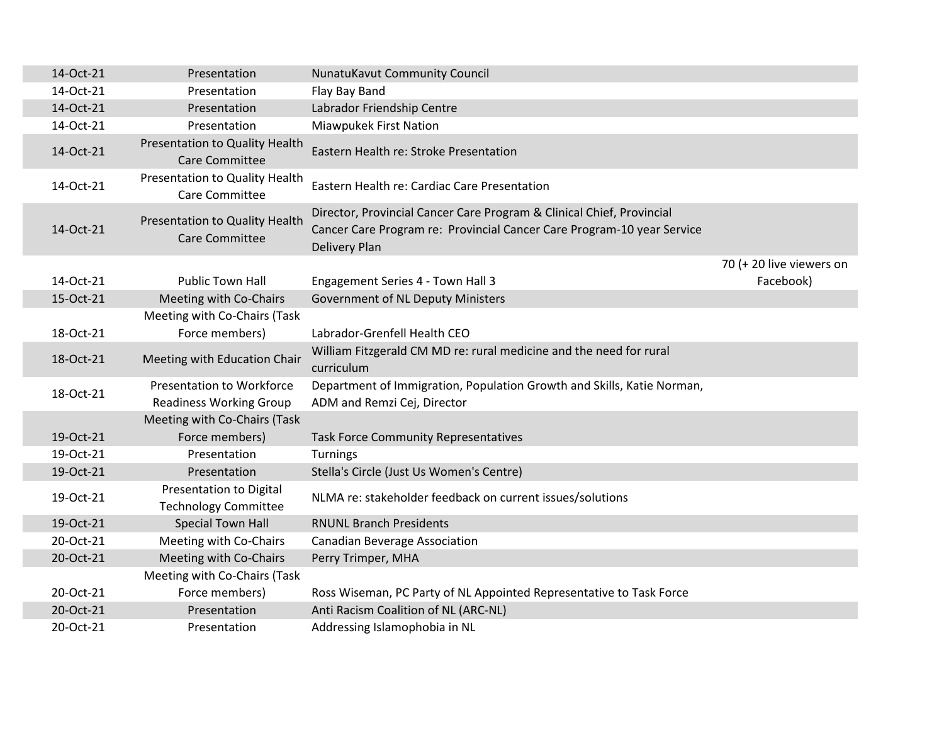| 14-Oct-21 | Presentation                                                  | <b>NunatuKavut Community Council</b>                                                                                                                                    |                          |
|-----------|---------------------------------------------------------------|-------------------------------------------------------------------------------------------------------------------------------------------------------------------------|--------------------------|
| 14-Oct-21 | Presentation                                                  | Flay Bay Band                                                                                                                                                           |                          |
| 14-Oct-21 | Presentation                                                  | Labrador Friendship Centre                                                                                                                                              |                          |
| 14-Oct-21 | Presentation                                                  | <b>Miawpukek First Nation</b>                                                                                                                                           |                          |
| 14-Oct-21 | Presentation to Quality Health<br><b>Care Committee</b>       | Eastern Health re: Stroke Presentation                                                                                                                                  |                          |
| 14-Oct-21 | Presentation to Quality Health<br>Care Committee              | Eastern Health re: Cardiac Care Presentation                                                                                                                            |                          |
| 14-Oct-21 | Presentation to Quality Health<br><b>Care Committee</b>       | Director, Provincial Cancer Care Program & Clinical Chief, Provincial<br>Cancer Care Program re: Provincial Cancer Care Program-10 year Service<br><b>Delivery Plan</b> |                          |
|           |                                                               |                                                                                                                                                                         | 70 (+ 20 live viewers on |
| 14-Oct-21 | <b>Public Town Hall</b>                                       | Engagement Series 4 - Town Hall 3                                                                                                                                       | Facebook)                |
| 15-Oct-21 | Meeting with Co-Chairs                                        | Government of NL Deputy Ministers                                                                                                                                       |                          |
|           | Meeting with Co-Chairs (Task                                  |                                                                                                                                                                         |                          |
| 18-Oct-21 | Force members)                                                | Labrador-Grenfell Health CEO                                                                                                                                            |                          |
| 18-Oct-21 | Meeting with Education Chair                                  | William Fitzgerald CM MD re: rural medicine and the need for rural<br>curriculum                                                                                        |                          |
| 18-Oct-21 | <b>Presentation to Workforce</b>                              | Department of Immigration, Population Growth and Skills, Katie Norman,                                                                                                  |                          |
|           | <b>Readiness Working Group</b>                                | ADM and Remzi Cej, Director                                                                                                                                             |                          |
|           | Meeting with Co-Chairs (Task                                  |                                                                                                                                                                         |                          |
| 19-Oct-21 | Force members)                                                | <b>Task Force Community Representatives</b>                                                                                                                             |                          |
| 19-Oct-21 | Presentation                                                  | Turnings                                                                                                                                                                |                          |
| 19-Oct-21 | Presentation                                                  | Stella's Circle (Just Us Women's Centre)                                                                                                                                |                          |
| 19-Oct-21 | <b>Presentation to Digital</b><br><b>Technology Committee</b> | NLMA re: stakeholder feedback on current issues/solutions                                                                                                               |                          |
| 19-Oct-21 | <b>Special Town Hall</b>                                      | <b>RNUNL Branch Presidents</b>                                                                                                                                          |                          |
| 20-Oct-21 | Meeting with Co-Chairs                                        | <b>Canadian Beverage Association</b>                                                                                                                                    |                          |
| 20-Oct-21 | Meeting with Co-Chairs                                        | Perry Trimper, MHA                                                                                                                                                      |                          |
|           | Meeting with Co-Chairs (Task                                  |                                                                                                                                                                         |                          |
| 20-Oct-21 | Force members)                                                | Ross Wiseman, PC Party of NL Appointed Representative to Task Force                                                                                                     |                          |
| 20-Oct-21 | Presentation                                                  | Anti Racism Coalition of NL (ARC-NL)                                                                                                                                    |                          |
| 20-Oct-21 | Presentation                                                  | Addressing Islamophobia in NL                                                                                                                                           |                          |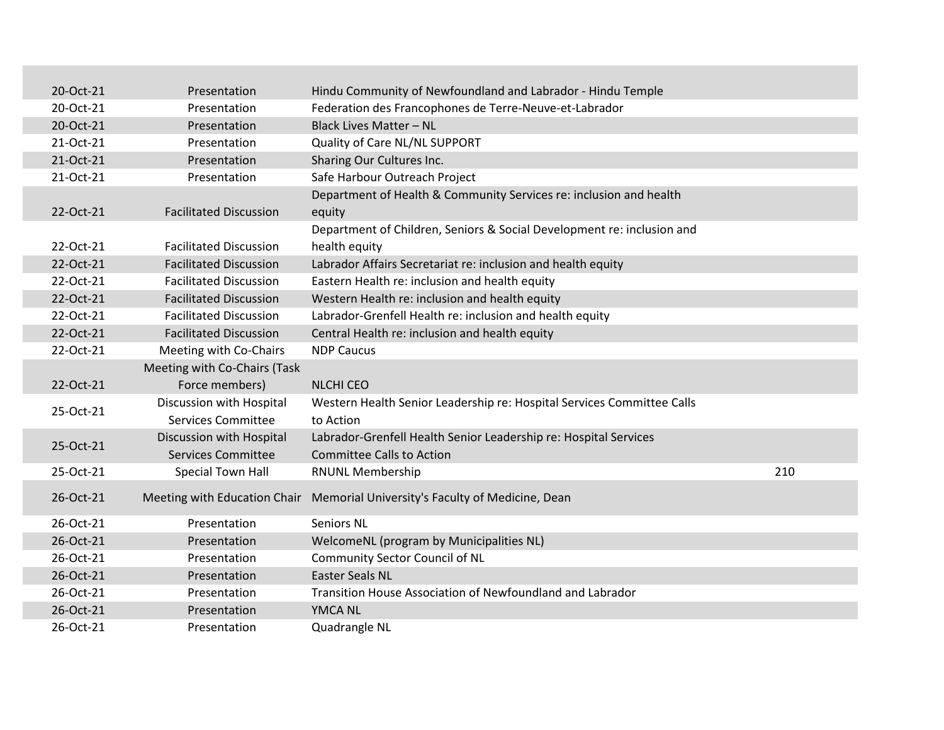| 20-Oct-21 | Presentation                  | Hindu Community of Newfoundland and Labrador - Hindu Temple            |     |
|-----------|-------------------------------|------------------------------------------------------------------------|-----|
| 20-Oct-21 | Presentation                  | Federation des Francophones de Terre-Neuve-et-Labrador                 |     |
| 20-Oct-21 | Presentation                  | <b>Black Lives Matter - NL</b>                                         |     |
| 21-Oct-21 | Presentation                  | Quality of Care NL/NL SUPPORT                                          |     |
| 21-Oct-21 | Presentation                  | Sharing Our Cultures Inc.                                              |     |
| 21-Oct-21 | Presentation                  | Safe Harbour Outreach Project                                          |     |
|           |                               | Department of Health & Community Services re: inclusion and health     |     |
| 22-Oct-21 | <b>Facilitated Discussion</b> | equity                                                                 |     |
|           |                               | Department of Children, Seniors & Social Development re: inclusion and |     |
| 22-Oct-21 | <b>Facilitated Discussion</b> | health equity                                                          |     |
| 22-Oct-21 | <b>Facilitated Discussion</b> | Labrador Affairs Secretariat re: inclusion and health equity           |     |
| 22-Oct-21 | <b>Facilitated Discussion</b> | Eastern Health re: inclusion and health equity                         |     |
| 22-Oct-21 | <b>Facilitated Discussion</b> | Western Health re: inclusion and health equity                         |     |
| 22-Oct-21 | <b>Facilitated Discussion</b> | Labrador-Grenfell Health re: inclusion and health equity               |     |
| 22-Oct-21 | <b>Facilitated Discussion</b> | Central Health re: inclusion and health equity                         |     |
| 22-Oct-21 | Meeting with Co-Chairs        | <b>NDP Caucus</b>                                                      |     |
|           | Meeting with Co-Chairs (Task  |                                                                        |     |
| 22-Oct-21 | Force members)                | <b>NLCHI CEO</b>                                                       |     |
| 25-Oct-21 | Discussion with Hospital      | Western Health Senior Leadership re: Hospital Services Committee Calls |     |
|           | <b>Services Committee</b>     | to Action                                                              |     |
| 25-Oct-21 | Discussion with Hospital      | Labrador-Grenfell Health Senior Leadership re: Hospital Services       |     |
|           | <b>Services Committee</b>     | <b>Committee Calls to Action</b>                                       |     |
| 25-Oct-21 | Special Town Hall             | <b>RNUNL Membership</b>                                                | 210 |
| 26-Oct-21 | Meeting with Education Chair  | Memorial University's Faculty of Medicine, Dean                        |     |
|           |                               |                                                                        |     |
| 26-Oct-21 | Presentation                  | <b>Seniors NL</b>                                                      |     |
| 26-Oct-21 | Presentation                  | WelcomeNL (program by Municipalities NL)                               |     |
| 26-Oct-21 | Presentation                  | <b>Community Sector Council of NL</b>                                  |     |
| 26-Oct-21 | Presentation                  | <b>Easter Seals NL</b>                                                 |     |
| 26-Oct-21 | Presentation                  | Transition House Association of Newfoundland and Labrador              |     |
| 26-Oct-21 | Presentation                  | YMCA NL                                                                |     |
| 26-Oct-21 | Presentation                  | Quadrangle NL                                                          |     |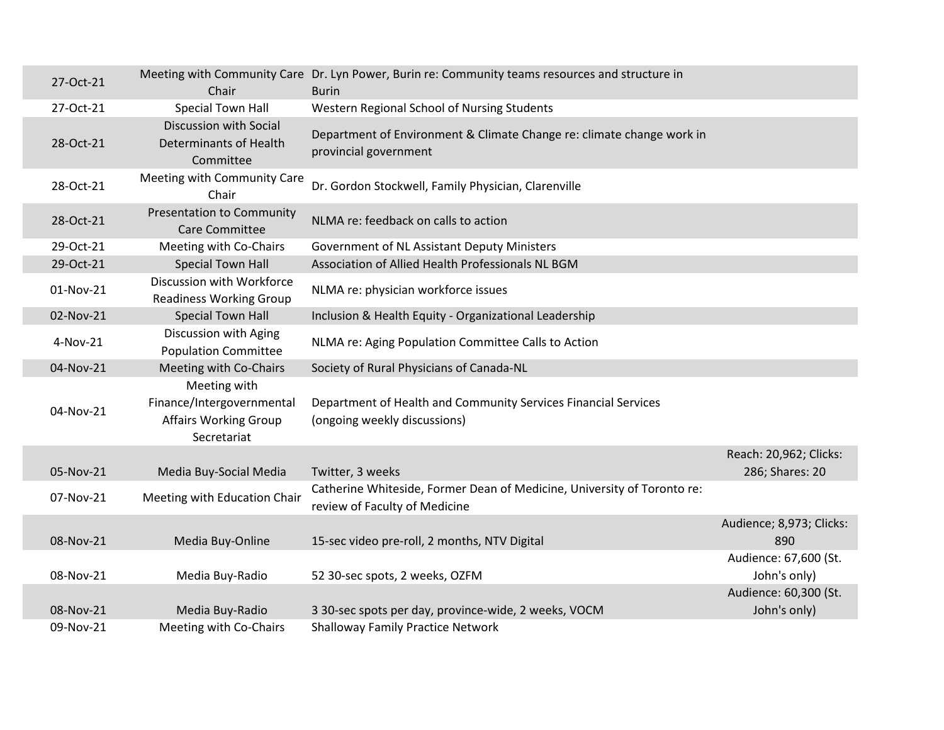| 27-Oct-21 | Chair                                                                                    | Meeting with Community Care Dr. Lyn Power, Burin re: Community teams resources and structure in<br><b>Burin</b> |                                       |
|-----------|------------------------------------------------------------------------------------------|-----------------------------------------------------------------------------------------------------------------|---------------------------------------|
| 27-Oct-21 | <b>Special Town Hall</b>                                                                 | Western Regional School of Nursing Students                                                                     |                                       |
| 28-Oct-21 | Discussion with Social<br>Determinants of Health<br>Committee                            | Department of Environment & Climate Change re: climate change work in<br>provincial government                  |                                       |
| 28-Oct-21 | Meeting with Community Care<br>Chair                                                     | Dr. Gordon Stockwell, Family Physician, Clarenville                                                             |                                       |
| 28-Oct-21 | <b>Presentation to Community</b><br><b>Care Committee</b>                                | NLMA re: feedback on calls to action                                                                            |                                       |
| 29-Oct-21 | Meeting with Co-Chairs                                                                   | Government of NL Assistant Deputy Ministers                                                                     |                                       |
| 29-Oct-21 | <b>Special Town Hall</b>                                                                 | Association of Allied Health Professionals NL BGM                                                               |                                       |
| 01-Nov-21 | Discussion with Workforce<br><b>Readiness Working Group</b>                              | NLMA re: physician workforce issues                                                                             |                                       |
| 02-Nov-21 | <b>Special Town Hall</b>                                                                 | Inclusion & Health Equity - Organizational Leadership                                                           |                                       |
| 4-Nov-21  | Discussion with Aging<br><b>Population Committee</b>                                     | NLMA re: Aging Population Committee Calls to Action                                                             |                                       |
| 04-Nov-21 | Meeting with Co-Chairs                                                                   | Society of Rural Physicians of Canada-NL                                                                        |                                       |
| 04-Nov-21 | Meeting with<br>Finance/Intergovernmental<br><b>Affairs Working Group</b><br>Secretariat | Department of Health and Community Services Financial Services<br>(ongoing weekly discussions)                  |                                       |
|           |                                                                                          |                                                                                                                 | Reach: 20,962; Clicks:                |
| 05-Nov-21 | Media Buy-Social Media                                                                   | Twitter, 3 weeks                                                                                                | 286; Shares: 20                       |
| 07-Nov-21 | Meeting with Education Chair                                                             | Catherine Whiteside, Former Dean of Medicine, University of Toronto re:<br>review of Faculty of Medicine        |                                       |
| 08-Nov-21 | Media Buy-Online                                                                         | 15-sec video pre-roll, 2 months, NTV Digital                                                                    | Audience; 8,973; Clicks:<br>890       |
| 08-Nov-21 | Media Buy-Radio                                                                          | 52 30-sec spots, 2 weeks, OZFM                                                                                  | Audience: 67,600 (St.<br>John's only) |
| 08-Nov-21 | Media Buy-Radio                                                                          | 3 30-sec spots per day, province-wide, 2 weeks, VOCM                                                            | Audience: 60,300 (St.<br>John's only) |
| 09-Nov-21 | Meeting with Co-Chairs                                                                   | <b>Shalloway Family Practice Network</b>                                                                        |                                       |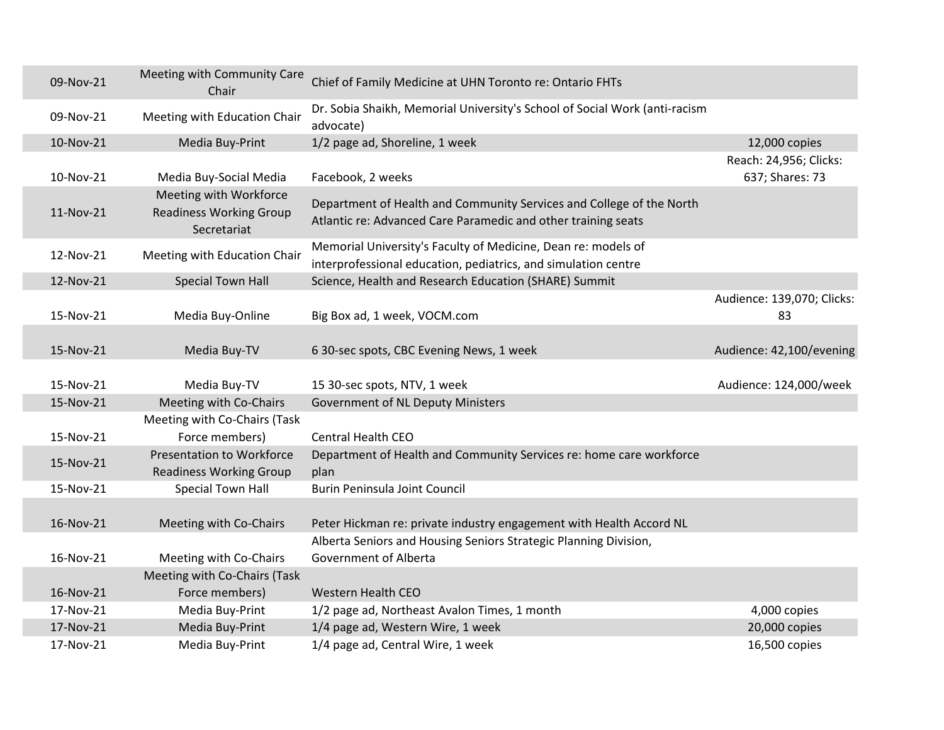| 09-Nov-21              | Meeting with Community Care<br>Chair                                     | Chief of Family Medicine at UHN Toronto re: Ontario FHTs                                                                              |                                           |
|------------------------|--------------------------------------------------------------------------|---------------------------------------------------------------------------------------------------------------------------------------|-------------------------------------------|
| 09-Nov-21              | Meeting with Education Chair                                             | Dr. Sobia Shaikh, Memorial University's School of Social Work (anti-racism<br>advocate)                                               |                                           |
| 10-Nov-21              | Media Buy-Print                                                          | 1/2 page ad, Shoreline, 1 week                                                                                                        | 12,000 copies                             |
| 10-Nov-21              | Media Buy-Social Media                                                   | Facebook, 2 weeks                                                                                                                     | Reach: 24,956; Clicks:<br>637; Shares: 73 |
| 11-Nov-21              | Meeting with Workforce<br><b>Readiness Working Group</b><br>Secretariat  | Department of Health and Community Services and College of the North<br>Atlantic re: Advanced Care Paramedic and other training seats |                                           |
| 12-Nov-21              | Meeting with Education Chair                                             | Memorial University's Faculty of Medicine, Dean re: models of<br>interprofessional education, pediatrics, and simulation centre       |                                           |
| 12-Nov-21              | <b>Special Town Hall</b>                                                 | Science, Health and Research Education (SHARE) Summit                                                                                 |                                           |
| 15-Nov-21              | Media Buy-Online                                                         | Big Box ad, 1 week, VOCM.com                                                                                                          | Audience: 139,070; Clicks:<br>83          |
| 15-Nov-21              | Media Buy-TV                                                             | 6 30-sec spots, CBC Evening News, 1 week                                                                                              | Audience: 42,100/evening                  |
| 15-Nov-21              | Media Buy-TV                                                             | 15 30-sec spots, NTV, 1 week                                                                                                          | Audience: 124,000/week                    |
| 15-Nov-21              | Meeting with Co-Chairs                                                   | <b>Government of NL Deputy Ministers</b>                                                                                              |                                           |
| 15-Nov-21              | Meeting with Co-Chairs (Task<br>Force members)                           | <b>Central Health CEO</b>                                                                                                             |                                           |
| 15-Nov-21              | <b>Presentation to Workforce</b><br><b>Readiness Working Group</b>       | Department of Health and Community Services re: home care workforce<br>plan                                                           |                                           |
| 15-Nov-21              | Special Town Hall                                                        | Burin Peninsula Joint Council                                                                                                         |                                           |
| 16-Nov-21              | Meeting with Co-Chairs                                                   | Peter Hickman re: private industry engagement with Health Accord NL                                                                   |                                           |
| 16-Nov-21<br>16-Nov-21 | Meeting with Co-Chairs<br>Meeting with Co-Chairs (Task<br>Force members) | Alberta Seniors and Housing Seniors Strategic Planning Division,<br>Government of Alberta<br><b>Western Health CEO</b>                |                                           |
| 17-Nov-21              | Media Buy-Print                                                          | 1/2 page ad, Northeast Avalon Times, 1 month                                                                                          | 4,000 copies                              |
| 17-Nov-21              | Media Buy-Print                                                          | 1/4 page ad, Western Wire, 1 week                                                                                                     | 20,000 copies                             |
| 17-Nov-21              | Media Buy-Print                                                          | 1/4 page ad, Central Wire, 1 week                                                                                                     | 16,500 copies                             |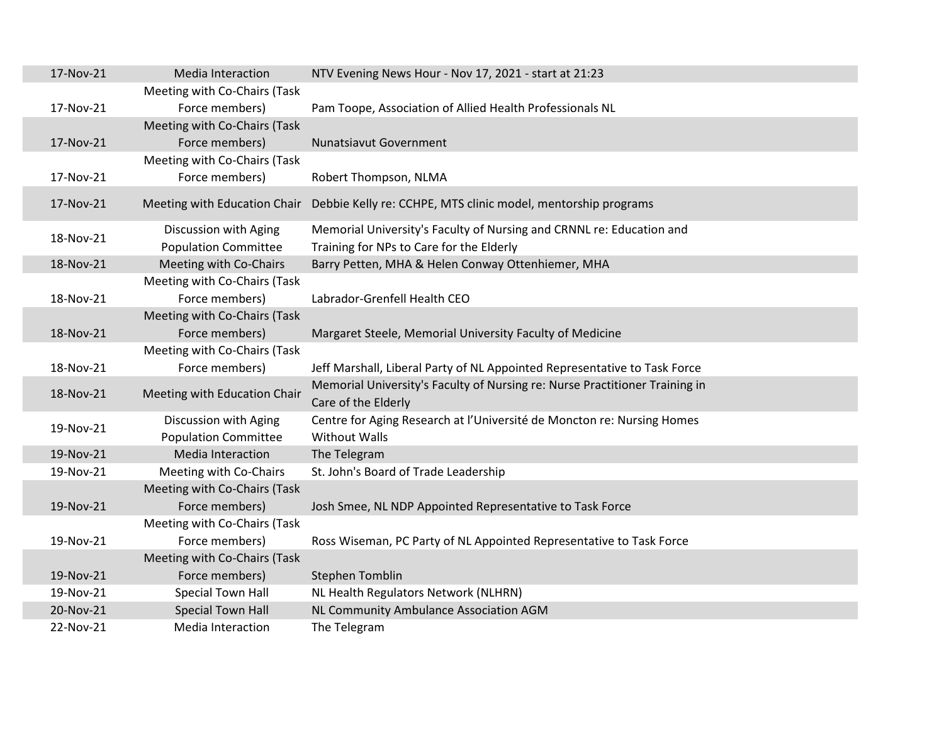| 17-Nov-21 | Media Interaction            | NTV Evening News Hour - Nov 17, 2021 - start at 21:23                                              |
|-----------|------------------------------|----------------------------------------------------------------------------------------------------|
|           | Meeting with Co-Chairs (Task |                                                                                                    |
| 17-Nov-21 | Force members)               | Pam Toope, Association of Allied Health Professionals NL                                           |
|           | Meeting with Co-Chairs (Task |                                                                                                    |
| 17-Nov-21 | Force members)               | <b>Nunatsiavut Government</b>                                                                      |
|           | Meeting with Co-Chairs (Task |                                                                                                    |
| 17-Nov-21 | Force members)               | Robert Thompson, NLMA                                                                              |
| 17-Nov-21 | Meeting with Education Chair | Debbie Kelly re: CCHPE, MTS clinic model, mentorship programs                                      |
| 18-Nov-21 | Discussion with Aging        | Memorial University's Faculty of Nursing and CRNNL re: Education and                               |
|           | <b>Population Committee</b>  | Training for NPs to Care for the Elderly                                                           |
| 18-Nov-21 | Meeting with Co-Chairs       | Barry Petten, MHA & Helen Conway Ottenhiemer, MHA                                                  |
|           | Meeting with Co-Chairs (Task |                                                                                                    |
| 18-Nov-21 | Force members)               | Labrador-Grenfell Health CEO                                                                       |
|           | Meeting with Co-Chairs (Task |                                                                                                    |
| 18-Nov-21 | Force members)               | Margaret Steele, Memorial University Faculty of Medicine                                           |
|           | Meeting with Co-Chairs (Task |                                                                                                    |
| 18-Nov-21 | Force members)               | Jeff Marshall, Liberal Party of NL Appointed Representative to Task Force                          |
| 18-Nov-21 | Meeting with Education Chair | Memorial University's Faculty of Nursing re: Nurse Practitioner Training in<br>Care of the Elderly |
| 19-Nov-21 | Discussion with Aging        | Centre for Aging Research at l'Université de Moncton re: Nursing Homes                             |
|           | <b>Population Committee</b>  | <b>Without Walls</b>                                                                               |
| 19-Nov-21 | Media Interaction            | The Telegram                                                                                       |
| 19-Nov-21 | Meeting with Co-Chairs       | St. John's Board of Trade Leadership                                                               |
|           | Meeting with Co-Chairs (Task |                                                                                                    |
| 19-Nov-21 | Force members)               | Josh Smee, NL NDP Appointed Representative to Task Force                                           |
|           | Meeting with Co-Chairs (Task |                                                                                                    |
| 19-Nov-21 | Force members)               | Ross Wiseman, PC Party of NL Appointed Representative to Task Force                                |
|           | Meeting with Co-Chairs (Task |                                                                                                    |
| 19-Nov-21 | Force members)               | Stephen Tomblin                                                                                    |
| 19-Nov-21 | Special Town Hall            | NL Health Regulators Network (NLHRN)                                                               |
| 20-Nov-21 | <b>Special Town Hall</b>     | NL Community Ambulance Association AGM                                                             |
| 22-Nov-21 | Media Interaction            | The Telegram                                                                                       |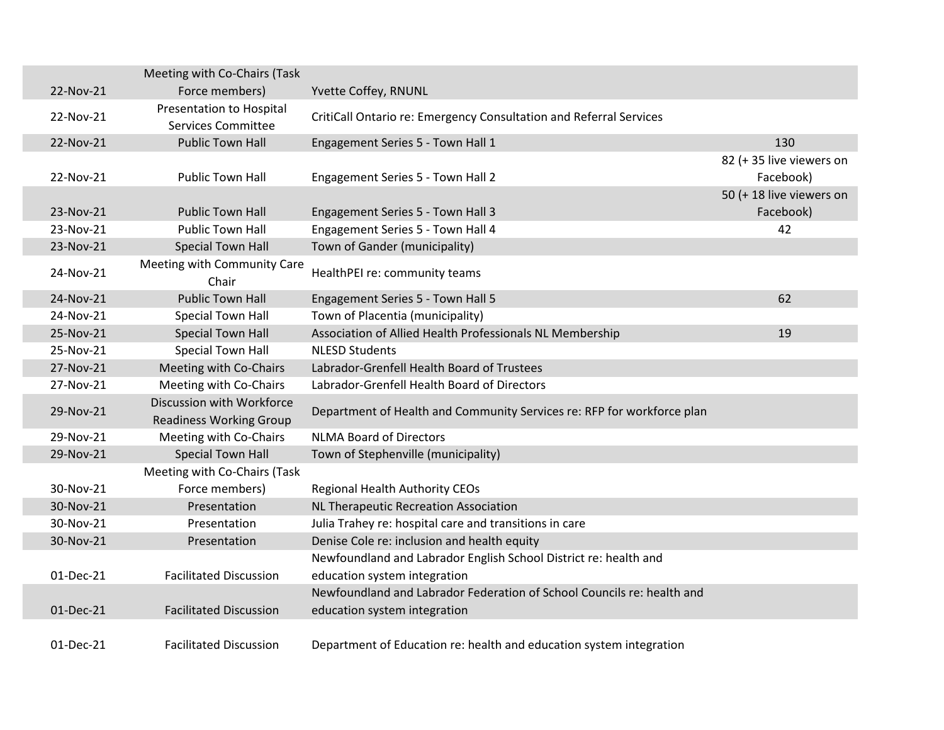|           | Meeting with Co-Chairs (Task                                |                                                                        |                          |
|-----------|-------------------------------------------------------------|------------------------------------------------------------------------|--------------------------|
| 22-Nov-21 | Force members)                                              | Yvette Coffey, RNUNL                                                   |                          |
| 22-Nov-21 | Presentation to Hospital                                    | CritiCall Ontario re: Emergency Consultation and Referral Services     |                          |
|           | <b>Services Committee</b>                                   |                                                                        |                          |
| 22-Nov-21 | <b>Public Town Hall</b>                                     | Engagement Series 5 - Town Hall 1                                      | 130                      |
|           |                                                             |                                                                        | 82 (+35 live viewers on  |
| 22-Nov-21 | <b>Public Town Hall</b>                                     | Engagement Series 5 - Town Hall 2                                      | Facebook)                |
|           |                                                             |                                                                        | 50 (+ 18 live viewers on |
| 23-Nov-21 | <b>Public Town Hall</b>                                     | Engagement Series 5 - Town Hall 3                                      | Facebook)                |
| 23-Nov-21 | <b>Public Town Hall</b>                                     | Engagement Series 5 - Town Hall 4                                      | 42                       |
| 23-Nov-21 | <b>Special Town Hall</b>                                    | Town of Gander (municipality)                                          |                          |
| 24-Nov-21 | Meeting with Community Care<br>Chair                        | HealthPEI re: community teams                                          |                          |
| 24-Nov-21 | <b>Public Town Hall</b>                                     | Engagement Series 5 - Town Hall 5                                      | 62                       |
| 24-Nov-21 | <b>Special Town Hall</b>                                    | Town of Placentia (municipality)                                       |                          |
| 25-Nov-21 | <b>Special Town Hall</b>                                    | Association of Allied Health Professionals NL Membership               | 19                       |
| 25-Nov-21 | <b>Special Town Hall</b>                                    | <b>NLESD Students</b>                                                  |                          |
| 27-Nov-21 | Meeting with Co-Chairs                                      | Labrador-Grenfell Health Board of Trustees                             |                          |
| 27-Nov-21 | Meeting with Co-Chairs                                      | Labrador-Grenfell Health Board of Directors                            |                          |
| 29-Nov-21 | Discussion with Workforce<br><b>Readiness Working Group</b> | Department of Health and Community Services re: RFP for workforce plan |                          |
| 29-Nov-21 | Meeting with Co-Chairs                                      | <b>NLMA Board of Directors</b>                                         |                          |
| 29-Nov-21 | <b>Special Town Hall</b>                                    | Town of Stephenville (municipality)                                    |                          |
|           | Meeting with Co-Chairs (Task                                |                                                                        |                          |
| 30-Nov-21 | Force members)                                              | <b>Regional Health Authority CEOs</b>                                  |                          |
| 30-Nov-21 | Presentation                                                | NL Therapeutic Recreation Association                                  |                          |
| 30-Nov-21 | Presentation                                                | Julia Trahey re: hospital care and transitions in care                 |                          |
| 30-Nov-21 | Presentation                                                | Denise Cole re: inclusion and health equity                            |                          |
|           |                                                             | Newfoundland and Labrador English School District re: health and       |                          |
| 01-Dec-21 | <b>Facilitated Discussion</b>                               | education system integration                                           |                          |
|           |                                                             | Newfoundland and Labrador Federation of School Councils re: health and |                          |
| 01-Dec-21 | <b>Facilitated Discussion</b>                               | education system integration                                           |                          |
| 01-Dec-21 | <b>Facilitated Discussion</b>                               | Department of Education re: health and education system integration    |                          |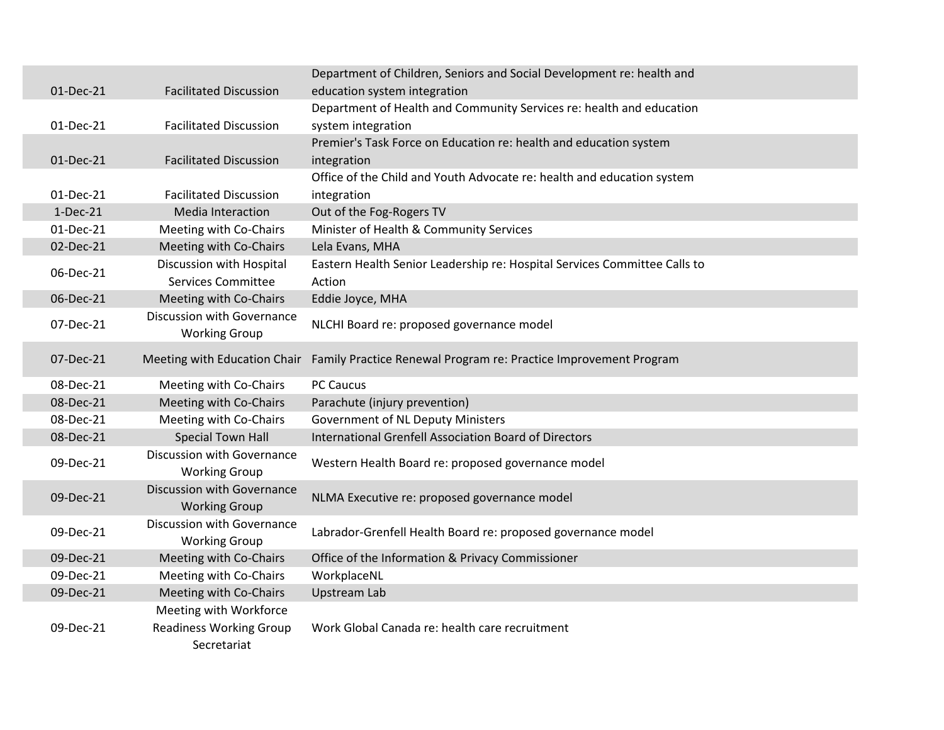|           |                                   | Department of Children, Seniors and Social Development re: health and     |
|-----------|-----------------------------------|---------------------------------------------------------------------------|
| 01-Dec-21 | <b>Facilitated Discussion</b>     | education system integration                                              |
|           |                                   | Department of Health and Community Services re: health and education      |
| 01-Dec-21 | <b>Facilitated Discussion</b>     | system integration                                                        |
|           |                                   | Premier's Task Force on Education re: health and education system         |
| 01-Dec-21 | <b>Facilitated Discussion</b>     | integration                                                               |
|           |                                   | Office of the Child and Youth Advocate re: health and education system    |
| 01-Dec-21 | <b>Facilitated Discussion</b>     | integration                                                               |
| 1-Dec-21  | Media Interaction                 | Out of the Fog-Rogers TV                                                  |
| 01-Dec-21 | Meeting with Co-Chairs            | Minister of Health & Community Services                                   |
| 02-Dec-21 | Meeting with Co-Chairs            | Lela Evans, MHA                                                           |
| 06-Dec-21 | Discussion with Hospital          | Eastern Health Senior Leadership re: Hospital Services Committee Calls to |
|           | <b>Services Committee</b>         | Action                                                                    |
| 06-Dec-21 | Meeting with Co-Chairs            | Eddie Joyce, MHA                                                          |
| 07-Dec-21 | Discussion with Governance        | NLCHI Board re: proposed governance model                                 |
|           | <b>Working Group</b>              |                                                                           |
| 07-Dec-21 | Meeting with Education Chair      | Family Practice Renewal Program re: Practice Improvement Program          |
|           |                                   |                                                                           |
| 08-Dec-21 | Meeting with Co-Chairs            | <b>PC Caucus</b>                                                          |
| 08-Dec-21 | Meeting with Co-Chairs            | Parachute (injury prevention)                                             |
| 08-Dec-21 | Meeting with Co-Chairs            | <b>Government of NL Deputy Ministers</b>                                  |
| 08-Dec-21 | <b>Special Town Hall</b>          | International Grenfell Association Board of Directors                     |
| 09-Dec-21 | Discussion with Governance        | Western Health Board re: proposed governance model                        |
|           | <b>Working Group</b>              |                                                                           |
| 09-Dec-21 | <b>Discussion with Governance</b> | NLMA Executive re: proposed governance model                              |
|           | <b>Working Group</b>              |                                                                           |
| 09-Dec-21 | Discussion with Governance        | Labrador-Grenfell Health Board re: proposed governance model              |
|           | <b>Working Group</b>              |                                                                           |
| 09-Dec-21 | Meeting with Co-Chairs            | Office of the Information & Privacy Commissioner                          |
| 09-Dec-21 | Meeting with Co-Chairs            | WorkplaceNL                                                               |
| 09-Dec-21 | Meeting with Co-Chairs            | <b>Upstream Lab</b>                                                       |
|           | Meeting with Workforce            |                                                                           |
| 09-Dec-21 | <b>Readiness Working Group</b>    | Work Global Canada re: health care recruitment                            |
|           | Secretariat                       |                                                                           |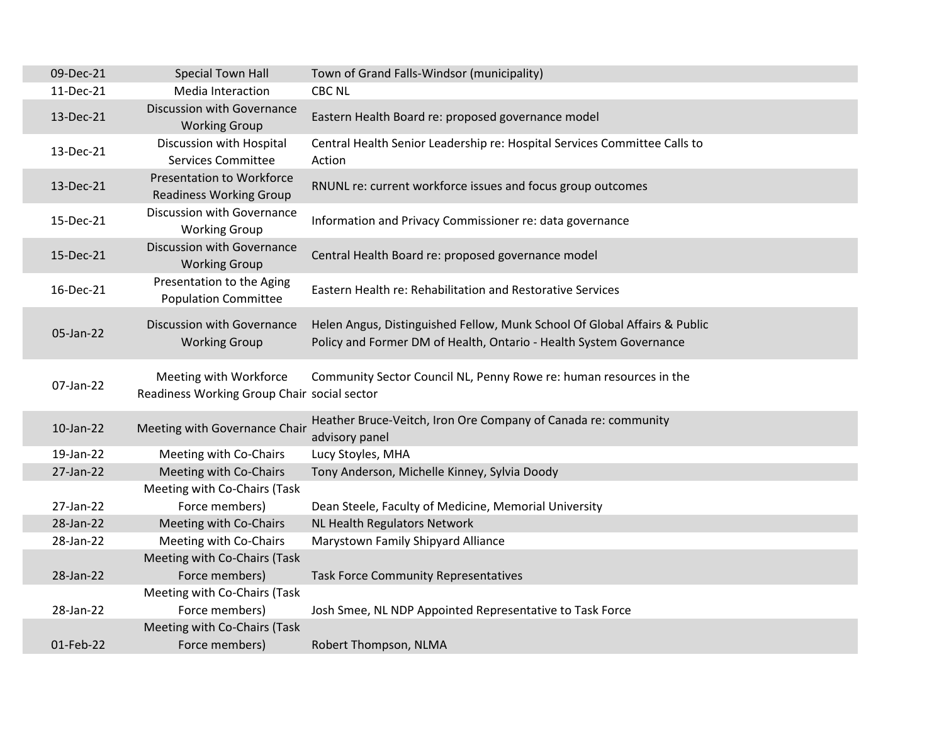| <b>Special Town Hall</b>                                              | Town of Grand Falls-Windsor (municipality)                                                                                                      |
|-----------------------------------------------------------------------|-------------------------------------------------------------------------------------------------------------------------------------------------|
| Media Interaction                                                     | <b>CBC NL</b>                                                                                                                                   |
| Discussion with Governance<br><b>Working Group</b>                    | Eastern Health Board re: proposed governance model                                                                                              |
| Discussion with Hospital<br><b>Services Committee</b>                 | Central Health Senior Leadership re: Hospital Services Committee Calls to<br>Action                                                             |
| <b>Presentation to Workforce</b><br><b>Readiness Working Group</b>    | RNUNL re: current workforce issues and focus group outcomes                                                                                     |
| Discussion with Governance<br><b>Working Group</b>                    | Information and Privacy Commissioner re: data governance                                                                                        |
| <b>Discussion with Governance</b><br><b>Working Group</b>             | Central Health Board re: proposed governance model                                                                                              |
| Presentation to the Aging<br><b>Population Committee</b>              | Eastern Health re: Rehabilitation and Restorative Services                                                                                      |
| Discussion with Governance<br><b>Working Group</b>                    | Helen Angus, Distinguished Fellow, Munk School Of Global Affairs & Public<br>Policy and Former DM of Health, Ontario - Health System Governance |
| Meeting with Workforce<br>Readiness Working Group Chair social sector | Community Sector Council NL, Penny Rowe re: human resources in the                                                                              |
| Meeting with Governance Chair                                         | Heather Bruce-Veitch, Iron Ore Company of Canada re: community<br>advisory panel                                                                |
| Meeting with Co-Chairs                                                | Lucy Stoyles, MHA                                                                                                                               |
| Meeting with Co-Chairs                                                | Tony Anderson, Michelle Kinney, Sylvia Doody                                                                                                    |
| Meeting with Co-Chairs (Task                                          |                                                                                                                                                 |
| Force members)                                                        | Dean Steele, Faculty of Medicine, Memorial University                                                                                           |
| Meeting with Co-Chairs                                                | NL Health Regulators Network                                                                                                                    |
| Meeting with Co-Chairs                                                | Marystown Family Shipyard Alliance                                                                                                              |
| Meeting with Co-Chairs (Task                                          |                                                                                                                                                 |
|                                                                       | <b>Task Force Community Representatives</b>                                                                                                     |
| Meeting with Co-Chairs (Task                                          |                                                                                                                                                 |
| Force members)                                                        | Josh Smee, NL NDP Appointed Representative to Task Force                                                                                        |
| Meeting with Co-Chairs (Task                                          |                                                                                                                                                 |
| Force members)                                                        | Robert Thompson, NLMA                                                                                                                           |
|                                                                       | Force members)                                                                                                                                  |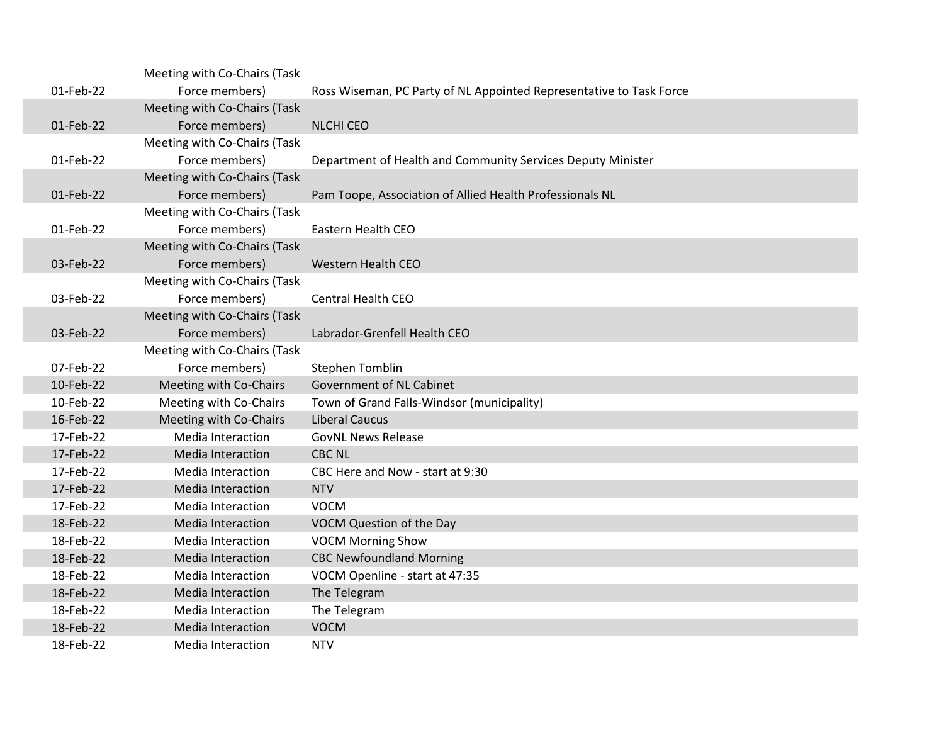|           | Meeting with Co-Chairs (Task |                                                                     |
|-----------|------------------------------|---------------------------------------------------------------------|
| 01-Feb-22 | Force members)               | Ross Wiseman, PC Party of NL Appointed Representative to Task Force |
|           | Meeting with Co-Chairs (Task |                                                                     |
| 01-Feb-22 | Force members)               | <b>NLCHI CEO</b>                                                    |
|           | Meeting with Co-Chairs (Task |                                                                     |
| 01-Feb-22 | Force members)               | Department of Health and Community Services Deputy Minister         |
|           | Meeting with Co-Chairs (Task |                                                                     |
| 01-Feb-22 | Force members)               | Pam Toope, Association of Allied Health Professionals NL            |
|           | Meeting with Co-Chairs (Task |                                                                     |
| 01-Feb-22 | Force members)               | Eastern Health CEO                                                  |
|           | Meeting with Co-Chairs (Task |                                                                     |
| 03-Feb-22 | Force members)               | <b>Western Health CEO</b>                                           |
|           | Meeting with Co-Chairs (Task |                                                                     |
| 03-Feb-22 | Force members)               | <b>Central Health CEO</b>                                           |
|           | Meeting with Co-Chairs (Task |                                                                     |
| 03-Feb-22 | Force members)               | Labrador-Grenfell Health CEO                                        |
|           | Meeting with Co-Chairs (Task |                                                                     |
| 07-Feb-22 | Force members)               | <b>Stephen Tomblin</b>                                              |
| 10-Feb-22 | Meeting with Co-Chairs       | Government of NL Cabinet                                            |
| 10-Feb-22 | Meeting with Co-Chairs       | Town of Grand Falls-Windsor (municipality)                          |
| 16-Feb-22 | Meeting with Co-Chairs       | <b>Liberal Caucus</b>                                               |
| 17-Feb-22 | <b>Media Interaction</b>     | <b>GovNL News Release</b>                                           |
| 17-Feb-22 | <b>Media Interaction</b>     | <b>CBC NL</b>                                                       |
| 17-Feb-22 | Media Interaction            | CBC Here and Now - start at 9:30                                    |
| 17-Feb-22 | <b>Media Interaction</b>     | <b>NTV</b>                                                          |
| 17-Feb-22 | Media Interaction            | <b>VOCM</b>                                                         |
| 18-Feb-22 | <b>Media Interaction</b>     | VOCM Question of the Day                                            |
| 18-Feb-22 | Media Interaction            | <b>VOCM Morning Show</b>                                            |
| 18-Feb-22 | <b>Media Interaction</b>     | <b>CBC Newfoundland Morning</b>                                     |
| 18-Feb-22 | Media Interaction            | VOCM Openline - start at 47:35                                      |
| 18-Feb-22 | <b>Media Interaction</b>     | The Telegram                                                        |
| 18-Feb-22 | Media Interaction            | The Telegram                                                        |
| 18-Feb-22 | <b>Media Interaction</b>     | <b>VOCM</b>                                                         |
| 18-Feb-22 | Media Interaction            | <b>NTV</b>                                                          |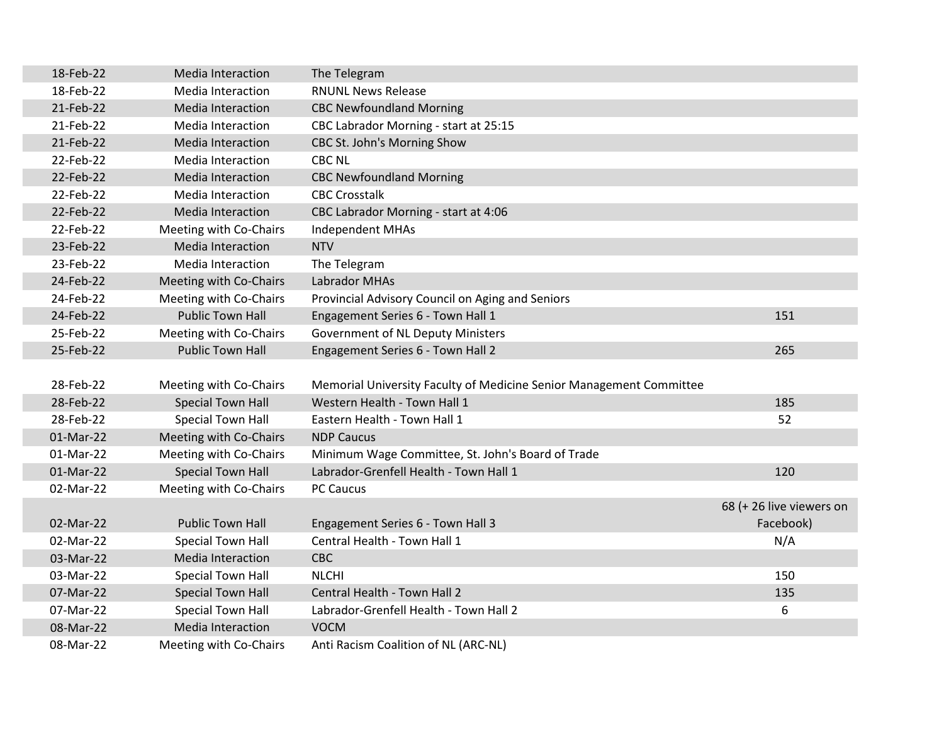| 18-Feb-22 | <b>Media Interaction</b> | The Telegram                                                        |                          |
|-----------|--------------------------|---------------------------------------------------------------------|--------------------------|
| 18-Feb-22 | <b>Media Interaction</b> | <b>RNUNL News Release</b>                                           |                          |
| 21-Feb-22 | Media Interaction        | <b>CBC Newfoundland Morning</b>                                     |                          |
| 21-Feb-22 | <b>Media Interaction</b> | CBC Labrador Morning - start at 25:15                               |                          |
| 21-Feb-22 | Media Interaction        | CBC St. John's Morning Show                                         |                          |
| 22-Feb-22 | Media Interaction        | <b>CBC NL</b>                                                       |                          |
| 22-Feb-22 | Media Interaction        | <b>CBC Newfoundland Morning</b>                                     |                          |
| 22-Feb-22 | <b>Media Interaction</b> | <b>CBC Crosstalk</b>                                                |                          |
| 22-Feb-22 | Media Interaction        | CBC Labrador Morning - start at 4:06                                |                          |
| 22-Feb-22 | Meeting with Co-Chairs   | Independent MHAs                                                    |                          |
| 23-Feb-22 | Media Interaction        | <b>NTV</b>                                                          |                          |
| 23-Feb-22 | Media Interaction        | The Telegram                                                        |                          |
| 24-Feb-22 | Meeting with Co-Chairs   | <b>Labrador MHAs</b>                                                |                          |
| 24-Feb-22 | Meeting with Co-Chairs   | Provincial Advisory Council on Aging and Seniors                    |                          |
| 24-Feb-22 | <b>Public Town Hall</b>  | Engagement Series 6 - Town Hall 1                                   | 151                      |
| 25-Feb-22 | Meeting with Co-Chairs   | <b>Government of NL Deputy Ministers</b>                            |                          |
| 25-Feb-22 | <b>Public Town Hall</b>  | Engagement Series 6 - Town Hall 2                                   | 265                      |
|           |                          |                                                                     |                          |
| 28-Feb-22 | Meeting with Co-Chairs   | Memorial University Faculty of Medicine Senior Management Committee |                          |
| 28-Feb-22 | <b>Special Town Hall</b> | Western Health - Town Hall 1                                        | 185                      |
| 28-Feb-22 | Special Town Hall        | Eastern Health - Town Hall 1                                        | 52                       |
| 01-Mar-22 | Meeting with Co-Chairs   | <b>NDP Caucus</b>                                                   |                          |
| 01-Mar-22 | Meeting with Co-Chairs   | Minimum Wage Committee, St. John's Board of Trade                   |                          |
| 01-Mar-22 | <b>Special Town Hall</b> | Labrador-Grenfell Health - Town Hall 1                              | 120                      |
| 02-Mar-22 | Meeting with Co-Chairs   | <b>PC Caucus</b>                                                    |                          |
|           |                          |                                                                     | 68 (+ 26 live viewers on |
| 02-Mar-22 | <b>Public Town Hall</b>  | Engagement Series 6 - Town Hall 3                                   | Facebook)                |
| 02-Mar-22 | Special Town Hall        | Central Health - Town Hall 1                                        | N/A                      |
| 03-Mar-22 | Media Interaction        | CBC                                                                 |                          |
| 03-Mar-22 | Special Town Hall        | <b>NLCHI</b>                                                        | 150                      |
| 07-Mar-22 | <b>Special Town Hall</b> | Central Health - Town Hall 2                                        | 135                      |
| 07-Mar-22 | <b>Special Town Hall</b> | Labrador-Grenfell Health - Town Hall 2                              | 6                        |
| 08-Mar-22 | <b>Media Interaction</b> | <b>VOCM</b>                                                         |                          |
| 08-Mar-22 | Meeting with Co-Chairs   | Anti Racism Coalition of NL (ARC-NL)                                |                          |